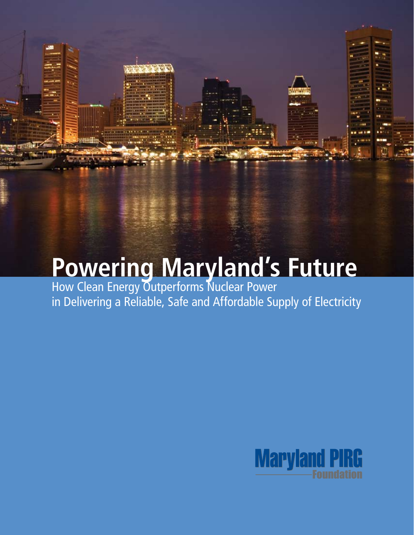# **Powering Maryland's Future**

How Clean Energy Outperforms Nuclear Power in Delivering a Reliable, Safe and Affordable Supply of Electricity

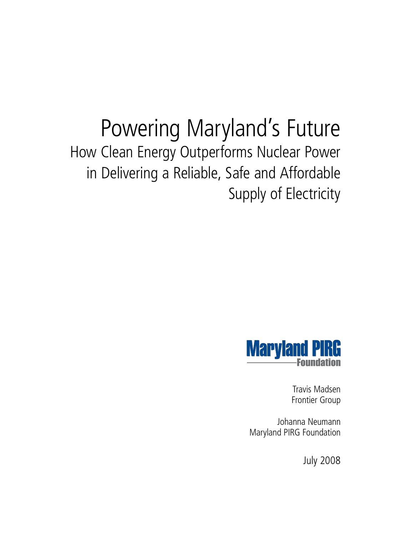# Powering Maryland's Future How Clean Energy Outperforms Nuclear Power in Delivering a Reliable, Safe and Affordable Supply of Electricity



Travis Madsen Frontier Group

Johanna Neumann Maryland PIRG Foundation

July 2008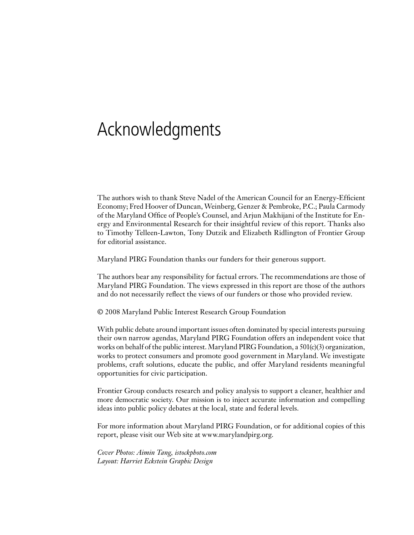# Acknowledgments

The authors wish to thank Steve Nadel of the American Council for an Energy-Efficient Economy; Fred Hoover of Duncan, Weinberg, Genzer & Pembroke, P.C.; Paula Carmody of the Maryland Office of People's Counsel, and Arjun Makhijani of the Institute for Energy and Environmental Research for their insightful review of this report. Thanks also to Timothy Telleen-Lawton, Tony Dutzik and Elizabeth Ridlington of Frontier Group for editorial assistance.

Maryland PIRG Foundation thanks our funders for their generous support.

The authors bear any responsibility for factual errors. The recommendations are those of Maryland PIRG Foundation. The views expressed in this report are those of the authors and do not necessarily reflect the views of our funders or those who provided review.

© 2008 Maryland Public Interest Research Group Foundation

With public debate around important issues often dominated by special interests pursuing their own narrow agendas, Maryland PIRG Foundation offers an independent voice that works on behalf of the public interest. Maryland PIRG Foundation, a 501(c)(3) organization, works to protect consumers and promote good government in Maryland. We investigate problems, craft solutions, educate the public, and offer Maryland residents meaningful opportunities for civic participation.

Frontier Group conducts research and policy analysis to support a cleaner, healthier and more democratic society. Our mission is to inject accurate information and compelling ideas into public policy debates at the local, state and federal levels.

For more information about Maryland PIRG Foundation, or for additional copies of this report, please visit our Web site at www.marylandpirg.org.

*Cover Photos: Aimin Tang, istockphoto.com Layout: Harriet Eckstein Graphic Design*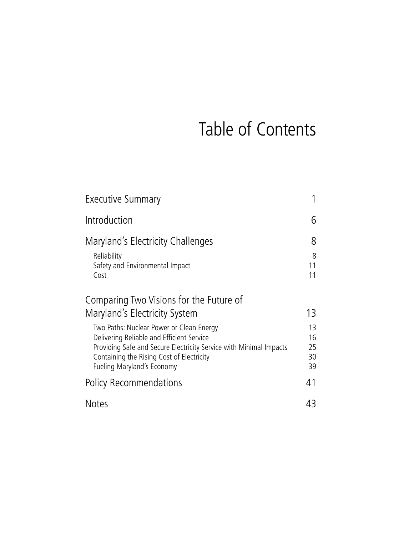# Table of Contents

| Executive Summary                                                                                                                                                                                                                                                                    | 1                          |
|--------------------------------------------------------------------------------------------------------------------------------------------------------------------------------------------------------------------------------------------------------------------------------------|----------------------------|
| Introduction                                                                                                                                                                                                                                                                         | 6                          |
| Maryland's Electricity Challenges<br>Reliability<br>Safety and Environmental Impact<br>Cost                                                                                                                                                                                          | 8<br>8<br>11<br>11         |
| Comparing Two Visions for the Future of<br>Maryland's Electricity System<br>Two Paths: Nuclear Power or Clean Energy<br>Delivering Reliable and Efficient Service<br>Providing Safe and Secure Electricity Service with Minimal Impacts<br>Containing the Rising Cost of Electricity | 13<br>13<br>16<br>25<br>30 |
| Fueling Maryland's Economy                                                                                                                                                                                                                                                           | 39                         |
| <b>Policy Recommendations</b>                                                                                                                                                                                                                                                        | 41                         |
| <b>Notes</b>                                                                                                                                                                                                                                                                         | 43                         |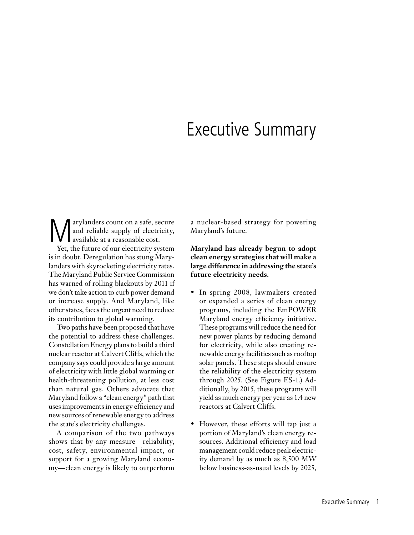## Executive Summary

**M** arylanders count on a safe, secure<br>and reliable supply of electricity,<br>ver the future of our electricity system and reliable supply of electricity, available at a reasonable cost. Yet, the future of our electricity system is in doubt. Deregulation has stung Mary-

landers with skyrocketing electricity rates. The Maryland Public Service Commission has warned of rolling blackouts by 2011 if we don't take action to curb power demand or increase supply. And Maryland, like other states, faces the urgent need to reduce its contribution to global warming.

Two paths have been proposed that have the potential to address these challenges. Constellation Energy plans to build a third nuclear reactor at Calvert Cliffs, which the company says could provide a large amount of electricity with little global warming or health-threatening pollution, at less cost than natural gas. Others advocate that Maryland follow a "clean energy" path that uses improvements in energy efficiency and new sources of renewable energy to address the state's electricity challenges.

A comparison of the two pathways shows that by any measure—reliability, cost, safety, environmental impact, or support for a growing Maryland economy—clean energy is likely to outperform a nuclear-based strategy for powering Maryland's future.

**Maryland has already begun to adopt clean energy strategies that will make a large difference in addressing the state's future electricity needs.** 

- In spring 2008, lawmakers created or expanded a series of clean energy programs, including the EmPOWER Maryland energy efficiency initiative. These programs will reduce the need for new power plants by reducing demand for electricity, while also creating renewable energy facilities such as rooftop solar panels. These steps should ensure the reliability of the electricity system through 2025. (See Figure ES-1.) Additionally, by 2015, these programs will yield as much energy per year as 1.4 new reactors at Calvert Cliffs.
- However, these efforts will tap just a portion of Maryland's clean energy resources. Additional efficiency and load management could reduce peak electricity demand by as much as 8,500 MW below business-as-usual levels by 2025,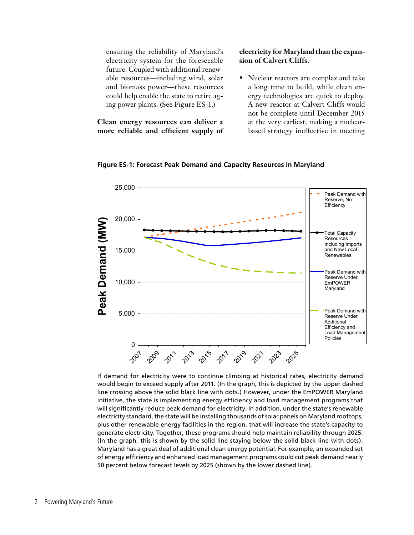ensuring the reliability of Maryland's electricity system for the foreseeable future. Coupled with additional renewable resources—including wind, solar and biomass power—these resources could help enable the state to retire aging power plants. (See Figure ES-1.)

**Clean energy resources can deliver a more reliable and efficient supply of** 

### **electricity for Maryland than the expansion of Calvert Cliffs.**

• Nuclear reactors are complex and take a long time to build, while clean energy technologies are quick to deploy. A new reactor at Calvert Cliffs would not be complete until December 2015 at the very earliest, making a nuclearbased strategy ineffective in meeting



**Figure ES-1: Forecast Peak Demand and Capacity Resources in Maryland**

If demand for electricity were to continue climbing at historical rates, electricity demand would begin to exceed supply after 2011. (In the graph, this is depicted by the upper dashed line crossing above the solid black line with dots.) However, under the EmPOWER Maryland initiative, the state is implementing energy efficiency and load management programs that will significantly reduce peak demand for electricity. In addition, under the state's renewable electricity standard, the state will be installing thousands of solar panels on Maryland rooftops, plus other renewable energy facilities in the region, that will increase the state's capacity to generate electricity. Together, these programs should help maintain reliability through 2025. (In the graph, this is shown by the solid line staying below the solid black line with dots). Maryland has a great deal of additional clean energy potential. For example, an expanded set of energy efficiency and enhanced load management programs could cut peak demand nearly 50 percent below forecast levels by 2025 (shown by the lower dashed line).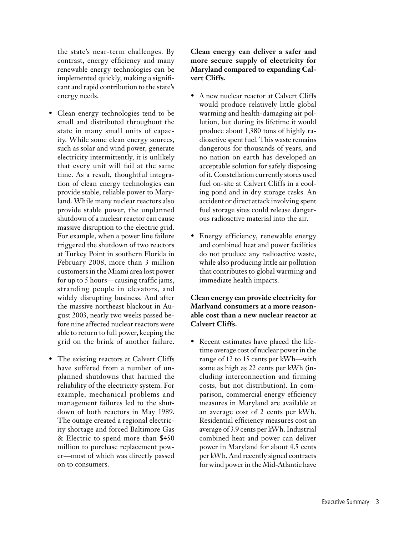the state's near-term challenges. By contrast, energy efficiency and many renewable energy technologies can be implemented quickly, making a significant and rapid contribution to the state's energy needs.

- Clean energy technologies tend to be small and distributed throughout the state in many small units of capacity. While some clean energy sources, such as solar and wind power, generate electricity intermittently, it is unlikely that every unit will fail at the same time. As a result, thoughtful integration of clean energy technologies can provide stable, reliable power to Maryland. While many nuclear reactors also provide stable power, the unplanned shutdown of a nuclear reactor can cause massive disruption to the electric grid. For example, when a power line failure triggered the shutdown of two reactors at Turkey Point in southern Florida in February 2008, more than 3 million customers in the Miami area lost power for up to 5 hours—causing traffic jams, stranding people in elevators, and widely disrupting business. And after the massive northeast blackout in August 2003, nearly two weeks passed before nine affected nuclear reactors were able to return to full power, keeping the grid on the brink of another failure.
- The existing reactors at Calvert Cliffs have suffered from a number of unplanned shutdowns that harmed the reliability of the electricity system. For example, mechanical problems and management failures led to the shutdown of both reactors in May 1989. The outage created a regional electricity shortage and forced Baltimore Gas & Electric to spend more than \$450 million to purchase replacement power—most of which was directly passed on to consumers.

**Clean energy can deliver a safer and more secure supply of electricity for Maryland compared to expanding Calvert Cliffs.**

- A new nuclear reactor at Calvert Cliffs would produce relatively little global warming and health-damaging air pollution, but during its lifetime it would produce about 1,380 tons of highly radioactive spent fuel. This waste remains dangerous for thousands of years, and no nation on earth has developed an acceptable solution for safely disposing of it. Constellation currently stores used fuel on-site at Calvert Cliffs in a cooling pond and in dry storage casks. An accident or direct attack involving spent fuel storage sites could release dangerous radioactive material into the air.
- Energy efficiency, renewable energy and combined heat and power facilities do not produce any radioactive waste, while also producing little air pollution that contributes to global warming and immediate health impacts.

### **Clean energy can provide electricity for Marlyand consumers at a more reasonable cost than a new nuclear reactor at Calvert Cliffs.**

• Recent estimates have placed the lifetime average cost of nuclear power in the range of 12 to 15 cents per kWh—with some as high as 22 cents per kWh (including interconnection and firming costs, but not distribution). In comparison, commercial energy efficiency measures in Maryland are available at an average cost of 2 cents per kWh. Residential efficiency measures cost an average of 3.9 cents per kWh. Industrial combined heat and power can deliver power in Maryland for about 4.5 cents per kWh. And recently signed contracts for wind power in the Mid-Atlantic have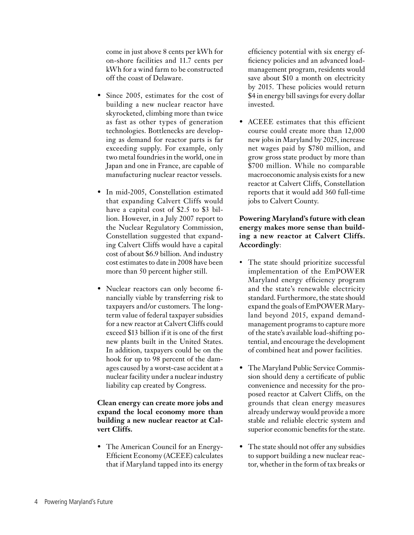come in just above 8 cents per kWh for on-shore facilities and 11.7 cents per kWh for a wind farm to be constructed off the coast of Delaware.

- Since 2005, estimates for the cost of building a new nuclear reactor have skyrocketed, climbing more than twice as fast as other types of generation technologies. Bottlenecks are developing as demand for reactor parts is far exceeding supply. For example, only two metal foundries in the world, one in Japan and one in France, are capable of manufacturing nuclear reactor vessels.
- In mid-2005, Constellation estimated that expanding Calvert Cliffs would have a capital cost of \$2.5 to \$3 billion. However, in a July 2007 report to the Nuclear Regulatory Commission, Constellation suggested that expanding Calvert Cliffs would have a capital cost of about \$6.9 billion. And industry cost estimates to date in 2008 have been more than 50 percent higher still.
- Nuclear reactors can only become financially viable by transferring risk to taxpayers and/or customers. The longterm value of federal taxpayer subsidies for a new reactor at Calvert Cliffs could exceed \$13 billion if it is one of the first new plants built in the United States. In addition, taxpayers could be on the hook for up to 98 percent of the damages caused by a worst-case accident at a nuclear facility under a nuclear industry liability cap created by Congress.

### **Clean energy can create more jobs and expand the local economy more than building a new nuclear reactor at Calvert Cliffs.**

• The American Council for an Energy-Efficient Economy (ACEEE) calculates that if Maryland tapped into its energy efficiency potential with six energy efficiency policies and an advanced loadmanagement program, residents would save about \$10 a month on electricity by 2015. These policies would return \$4 in energy bill savings for every dollar invested.

• ACEEE estimates that this efficient course could create more than 12,000 new jobs in Maryland by 2025, increase net wages paid by \$780 million, and grow gross state product by more than \$700 million. While no comparable macroeconomic analysis exists for a new reactor at Calvert Cliffs, Constellation reports that it would add 360 full-time jobs to Calvert County.

### **Powering Maryland's future with clean energy makes more sense than building a new reactor at Calvert Cliffs. Accordingly**:

- The state should prioritize successful implementation of the EmPOWER Maryland energy efficiency program and the state's renewable electricity standard. Furthermore, the state should expand the goals of EmPOWER Maryland beyond 2015, expand demandmanagement programs to capture more of the state's available load-shifting potential, and encourage the development of combined heat and power facilities.
- The Maryland Public Service Commission should deny a certificate of public convenience and necessity for the proposed reactor at Calvert Cliffs, on the grounds that clean energy measures already underway would provide a more stable and reliable electric system and superior economic benefits for the state.
- The state should not offer any subsidies to support building a new nuclear reactor, whether in the form of tax breaks or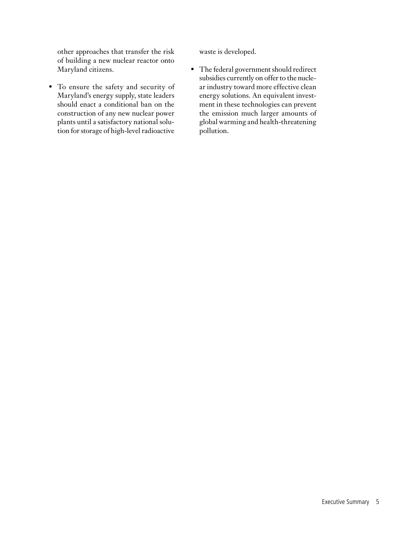other approaches that transfer the risk of building a new nuclear reactor onto Maryland citizens.

• To ensure the safety and security of Maryland's energy supply, state leaders should enact a conditional ban on the construction of any new nuclear power plants until a satisfactory national solution for storage of high-level radioactive waste is developed.

• The federal government should redirect subsidies currently on offer to the nuclear industry toward more effective clean energy solutions. An equivalent investment in these technologies can prevent the emission much larger amounts of global warming and health-threatening pollution.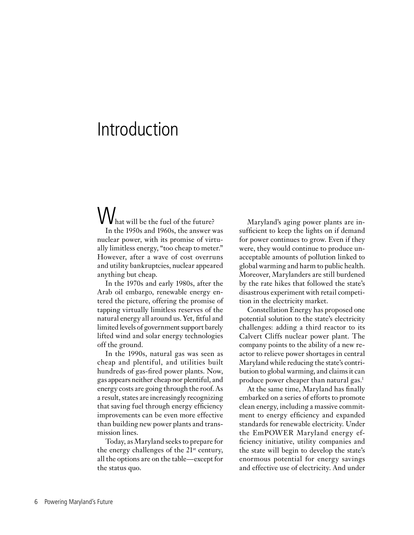# Introduction

What will be the fuel of the future? In the 1950s and 1960s, the answer was nuclear power, with its promise of virtually limitless energy, "too cheap to meter." However, after a wave of cost overruns and utility bankruptcies, nuclear appeared anything but cheap.

In the 1970s and early 1980s, after the Arab oil embargo, renewable energy entered the picture, offering the promise of tapping virtually limitless reserves of the natural energy all around us. Yet, fitful and limited levels of government support barely lifted wind and solar energy technologies off the ground.

In the 1990s, natural gas was seen as cheap and plentiful, and utilities built hundreds of gas-fired power plants. Now, gas appears neither cheap nor plentiful, and energy costs are going through the roof. As a result, states are increasingly recognizing that saving fuel through energy efficiency improvements can be even more effective than building new power plants and transmission lines.

Today, as Maryland seeks to prepare for the energy challenges of the  $21<sup>st</sup>$  century, all the options are on the table—except for the status quo.

Maryland's aging power plants are insufficient to keep the lights on if demand for power continues to grow. Even if they were, they would continue to produce unacceptable amounts of pollution linked to global warming and harm to public health. Moreover, Marylanders are still burdened by the rate hikes that followed the state's disastrous experiment with retail competition in the electricity market.

Constellation Energy has proposed one potential solution to the state's electricity challenges: adding a third reactor to its Calvert Cliffs nuclear power plant. The company points to the ability of a new reactor to relieve power shortages in central Maryland while reducing the state's contribution to global warming, and claims it can produce power cheaper than natural gas.<sup>1</sup>

At the same time, Maryland has finally embarked on a series of efforts to promote clean energy, including a massive commitment to energy efficiency and expanded standards for renewable electricity. Under the EmPOWER Maryland energy efficiency initiative, utility companies and the state will begin to develop the state's enormous potential for energy savings and effective use of electricity. And under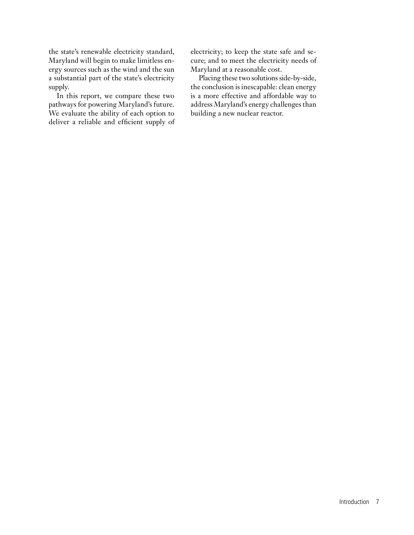the state's renewable electricity standard, Maryland will begin to make limitless energy sources such as the wind and the sun a substantial part of the state's electricity supply.

In this report, we compare these two pathways for powering Maryland's future. We evaluate the ability of each option to deliver a reliable and efficient supply of

electricity; to keep the state safe and secure; and to meet the electricity needs of Maryland at a reasonable cost.

Placing these two solutions side-by-side, the conclusion is inescapable: clean energy is a more effective and affordable way to address Maryland's energy challenges than building a new nuclear reactor.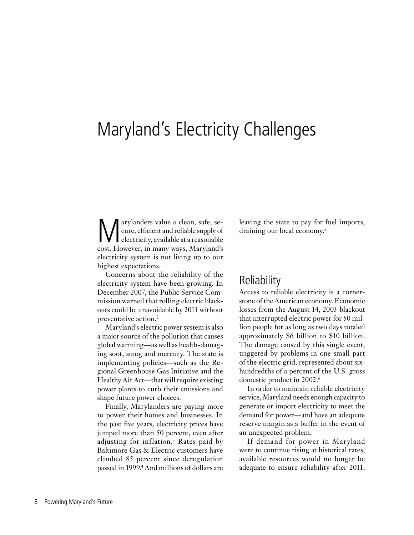# Maryland's Electricity Challenges

Marylanders value a clean, safe, se-<br>cure, efficient and reliable supply of<br>electricity, available at a reasonable<br>cost However, in many wave, Maryland's cure, efficient and reliable supply of electricity, available at a reasonable cost. However, in many ways, Maryland's electricity system is not living up to our highest expectations.

Concerns about the reliability of the electricity system have been growing. In December 2007, the Public Service Commission warned that rolling electric blackouts could be unavoidable by 2011 without preventative action.<sup>2</sup>

Maryland's electric power system is also a major source of the pollution that causes global warming—as well as health-damaging soot, smog and mercury. The state is implementing policies—such as the Regional Greenhouse Gas Initiative and the Healthy Air Act—that will require existing power plants to curb their emissions and shape future power choices.

Finally, Marylanders are paying more to power their homes and businesses. In the past five years, electricity prices have jumped more than 50 percent, even after adjusting for inflation.3 Rates paid by Baltimore Gas & Electric customers have climbed 85 percent since deregulation passed in 1999.4 And millions of dollars are leaving the state to pay for fuel imports, draining our local economy.5

### **Reliability**

Access to reliable electricity is a cornerstone of the American economy. Economic losses from the August 14, 2003 blackout that interrupted electric power for 50 million people for as long as two days totaled approximately \$6 billion to \$10 billion. The damage caused by this single event, triggered by problems in one small part of the electric grid, represented about sixhundredths of a percent of the U.S. gross domestic product in 2002.6

In order to maintain reliable electricity service, Maryland needs enough capacity to generate or import electricity to meet the demand for power—and have an adequate reserve margin as a buffer in the event of an unexpected problem.

If demand for power in Maryland were to continue rising at historical rates, available resources would no longer be adequate to ensure reliability after 2011,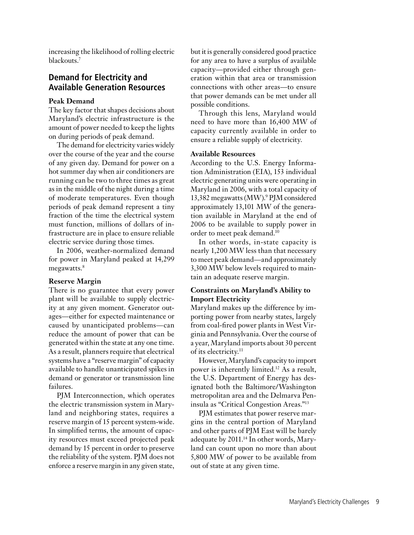increasing the likelihood of rolling electric blackouts.<sup>7</sup>

### **Demand for Electricity and Available Generation Resources**

#### **Peak Demand**

The key factor that shapes decisions about Maryland's electric infrastructure is the amount of power needed to keep the lights on during periods of peak demand.

The demand for electricity varies widely over the course of the year and the course of any given day. Demand for power on a hot summer day when air conditioners are running can be two to three times as great as in the middle of the night during a time of moderate temperatures. Even though periods of peak demand represent a tiny fraction of the time the electrical system must function, millions of dollars of infrastructure are in place to ensure reliable electric service during those times.

In 2006, weather-normalized demand for power in Maryland peaked at 14,299 megawatts.<sup>8</sup>

#### **Reserve Margin**

There is no guarantee that every power plant will be available to supply electricity at any given moment. Generator outages—either for expected maintenance or caused by unanticipated problems—can reduce the amount of power that can be generated within the state at any one time. As a result, planners require that electrical systems have a "reserve margin" of capacity available to handle unanticipated spikes in demand or generator or transmission line failures.

PJM Interconnection, which operates the electric transmission system in Maryland and neighboring states, requires a reserve margin of 15 percent system-wide. In simplified terms, the amount of capacity resources must exceed projected peak demand by 15 percent in order to preserve the reliability of the system. PJM does not enforce a reserve margin in any given state, but it is generally considered good practice for any area to have a surplus of available capacity—provided either through generation within that area or transmission connections with other areas—to ensure that power demands can be met under all possible conditions.

Through this lens, Maryland would need to have more than 16,400 MW of capacity currently available in order to ensure a reliable supply of electricity.

#### **Available Resources**

According to the U.S. Energy Information Administration (EIA), 153 individual electric generating units were operating in Maryland in 2006, with a total capacity of 13,382 megawatts (MW).<sup>9</sup> PJM considered approximately 13,101 MW of the generation available in Maryland at the end of 2006 to be available to supply power in order to meet peak demand.10

In other words, in-state capacity is nearly 1,200 MW less than that necessary to meet peak demand—and approximately 3,300 MW below levels required to maintain an adequate reserve margin.

#### **Constraints on Maryland's Ability to Import Electricity**

Maryland makes up the difference by importing power from nearby states, largely from coal-fired power plants in West Virginia and Pennsylvania. Over the course of a year, Maryland imports about 30 percent of its electricity.<sup>11</sup>

However, Maryland's capacity to import power is inherently limited.12 As a result, the U.S. Department of Energy has designated both the Baltimore/Washington metropolitan area and the Delmarva Peninsula as "Critical Congestion Areas."13

PJM estimates that power reserve margins in the central portion of Maryland and other parts of PJM East will be barely adequate by 2011.14 In other words, Maryland can count upon no more than about 5,800 MW of power to be available from out of state at any given time.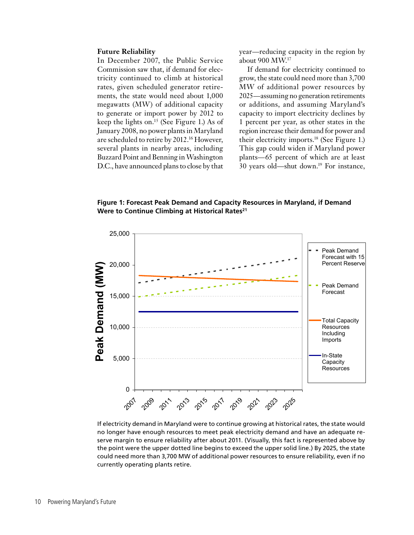#### **Future Reliability**

In December 2007, the Public Service Commission saw that, if demand for electricity continued to climb at historical rates, given scheduled generator retirements, the state would need about 1,000 megawatts (MW) of additional capacity to generate or import power by 2012 to keep the lights on.15 (See Figure 1.) As of January 2008, no power plants in Maryland are scheduled to retire by 2012.<sup>16</sup> However, several plants in nearby areas, including Buzzard Point and Benning in Washington D.C., have announced plans to close by that year—reducing capacity in the region by about 900 MW.17

If demand for electricity continued to grow, the state could need more than 3,700 MW of additional power resources by 2025—assuming no generation retirements or additions, and assuming Maryland's capacity to import electricity declines by 1 percent per year, as other states in the region increase their demand for power and their electricity imports.18 (See Figure 1.) This gap could widen if Maryland power plants—65 percent of which are at least 30 years old—shut down.19 For instance,

**Figure 1: Forecast Peak Demand and Capacity Resources in Maryland, if Demand**  Were to Continue Climbing at Historical Rates<sup>21</sup>



If electricity demand in Maryland were to continue growing at historical rates, the state would no longer have enough resources to meet peak electricity demand and have an adequate reserve margin to ensure reliability after about 2011. (Visually, this fact is represented above by the point were the upper dotted line begins to exceed the upper solid line.) By 2025, the state could need more than 3,700 MW of additional power resources to ensure reliability, even if no currently operating plants retire.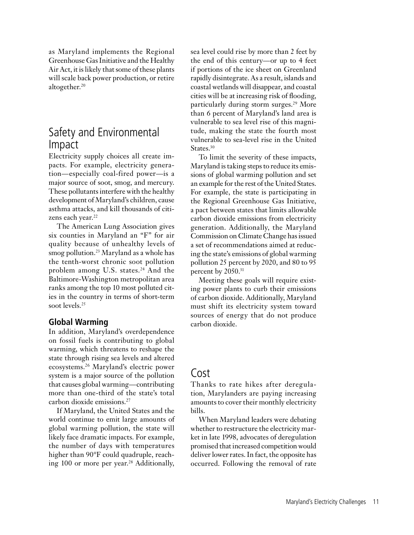as Maryland implements the Regional Greenhouse Gas Initiative and the Healthy Air Act, it is likely that some of these plants will scale back power production, or retire altogether.<sup>20</sup>

### Safety and Environmental Impact

Electricity supply choices all create impacts. For example, electricity generation—especially coal-fired power—is a major source of soot, smog, and mercury. These pollutants interfere with the healthy development of Maryland's children, cause asthma attacks, and kill thousands of citizens each year.<sup>22</sup>

The American Lung Association gives six counties in Maryland an "F" for air quality because of unhealthy levels of smog pollution.<sup>23</sup> Maryland as a whole has the tenth-worst chronic soot pollution problem among U.S. states.<sup>24</sup> And the Baltimore-Washington metropolitan area ranks among the top 10 most polluted cities in the country in terms of short-term soot levels.<sup>25</sup>

### **Global Warming**

In addition, Maryland's overdependence on fossil fuels is contributing to global warming, which threatens to reshape the state through rising sea levels and altered ecosystems.26 Maryland's electric power system is a major source of the pollution that causes global warming—contributing more than one-third of the state's total carbon dioxide emissions.27

If Maryland, the United States and the world continue to emit large amounts of global warming pollution, the state will likely face dramatic impacts. For example, the number of days with temperatures higher than 90°F could quadruple, reaching 100 or more per year.<sup>28</sup> Additionally,

sea level could rise by more than 2 feet by the end of this century—or up to 4 feet if portions of the ice sheet on Greenland rapidly disintegrate. As a result, islands and coastal wetlands will disappear, and coastal cities will be at increasing risk of flooding, particularly during storm surges.29 More than 6 percent of Maryland's land area is vulnerable to sea level rise of this magnitude, making the state the fourth most vulnerable to sea-level rise in the United States.<sup>30</sup>

To limit the severity of these impacts, Maryland is taking steps to reduce its emissions of global warming pollution and set an example for the rest of the United States. For example, the state is participating in the Regional Greenhouse Gas Initiative, a pact between states that limits allowable carbon dioxide emissions from electricity generation. Additionally, the Maryland Commission on Climate Change has issued a set of recommendations aimed at reducing the state's emissions of global warming pollution 25 percent by 2020, and 80 to 95 percent by 2050.<sup>31</sup>

Meeting these goals will require existing power plants to curb their emissions of carbon dioxide. Additionally, Maryland must shift its electricity system toward sources of energy that do not produce carbon dioxide.

### Cost

Thanks to rate hikes after deregulation, Marylanders are paying increasing amounts to cover their monthly electricity bills.

When Maryland leaders were debating whether to restructure the electricity market in late 1998, advocates of deregulation promised that increased competition would deliver lower rates. In fact, the opposite has occurred. Following the removal of rate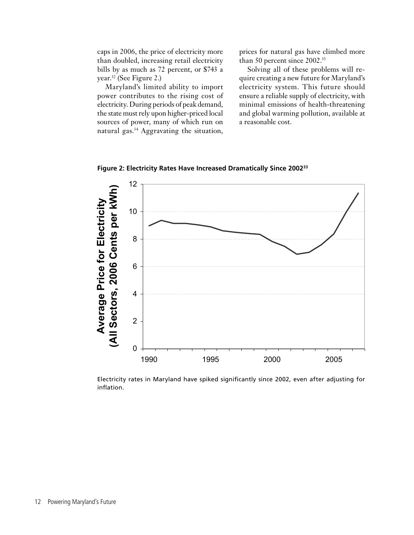caps in 2006, the price of electricity more than doubled, increasing retail electricity bills by as much as 72 percent, or \$743 a year.32 (See Figure 2.)

Maryland's limited ability to import power contributes to the rising cost of electricity. During periods of peak demand, the state must rely upon higher-priced local sources of power, many of which run on natural gas.34 Aggravating the situation,

prices for natural gas have climbed more than 50 percent since 2002.<sup>35</sup>

Solving all of these problems will require creating a new future for Maryland's electricity system. This future should ensure a reliable supply of electricity, with minimal emissions of health-threatening and global warming pollution, available at a reasonable cost.



**Figure 2: Electricity Rates Have Increased Dramatically Since 200233**

Electricity rates in Maryland have spiked significantly since 2002, even after adjusting for inflation.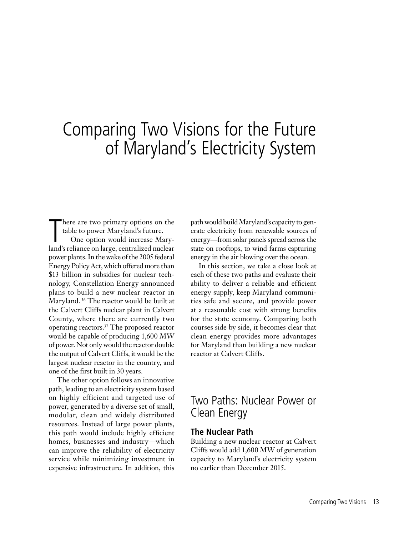## Comparing Two Visions for the Future of Maryland's Electricity System

here are two primary options on the table to power Maryland's future.

There are two primary options on the<br>table to power Maryland's future.<br>One option would increase Mary-<br>land's reliance on large, centralized nuclear One option would increase Marypower plants. In the wake of the 2005 federal Energy Policy Act, which offered more than \$13 billion in subsidies for nuclear technology, Constellation Energy announced plans to build a new nuclear reactor in Maryland. 36 The reactor would be built at the Calvert Cliffs nuclear plant in Calvert County, where there are currently two operating reactors.37 The proposed reactor would be capable of producing 1,600 MW of power. Not only would the reactor double the output of Calvert Cliffs, it would be the largest nuclear reactor in the country, and one of the first built in 30 years.

The other option follows an innovative path, leading to an electricity system based on highly efficient and targeted use of power, generated by a diverse set of small, modular, clean and widely distributed resources. Instead of large power plants, this path would include highly efficient homes, businesses and industry—which can improve the reliability of electricity service while minimizing investment in expensive infrastructure. In addition, this

path would build Maryland's capacity to generate electricity from renewable sources of energy—from solar panels spread across the state on rooftops, to wind farms capturing energy in the air blowing over the ocean.

In this section, we take a close look at each of these two paths and evaluate their ability to deliver a reliable and efficient energy supply, keep Maryland communities safe and secure, and provide power at a reasonable cost with strong benefits for the state economy. Comparing both courses side by side, it becomes clear that clean energy provides more advantages for Maryland than building a new nuclear reactor at Calvert Cliffs.

### Two Paths: Nuclear Power or Clean Energy

### **The Nuclear Path**

Building a new nuclear reactor at Calvert Cliffs would add 1,600 MW of generation capacity to Maryland's electricity system no earlier than December 2015.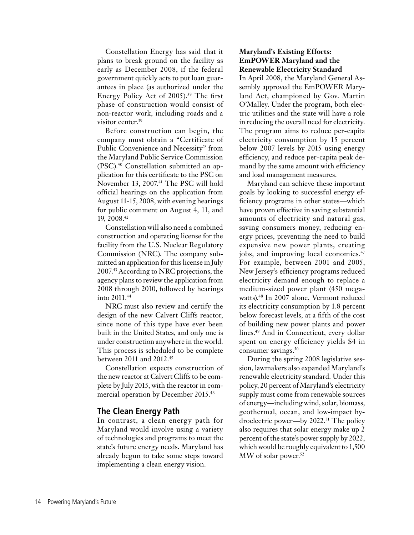Constellation Energy has said that it plans to break ground on the facility as early as December 2008, if the federal government quickly acts to put loan guarantees in place (as authorized under the Energy Policy Act of 2005).<sup>38</sup> The first phase of construction would consist of non-reactor work, including roads and a visitor center.<sup>39</sup>

Before construction can begin, the company must obtain a "Certificate of Public Convenience and Necessity" from the Maryland Public Service Commission (PSC).40 Constellation submitted an application for this certificate to the PSC on November 13, 2007.<sup>41</sup> The PSC will hold official hearings on the application from August 11-15, 2008, with evening hearings for public comment on August 4, 11, and 19, 2008.42

Constellation will also need a combined construction and operating license for the facility from the U.S. Nuclear Regulatory Commission (NRC). The company submitted an application for this license in July 2007.43 According to NRC projections, the agency plans to review the application from 2008 through 2010, followed by hearings into 2011.<sup>44</sup>

NRC must also review and certify the design of the new Calvert Cliffs reactor, since none of this type have ever been built in the United States, and only one is under construction anywhere in the world. This process is scheduled to be complete between 2011 and 2012.45

Constellation expects construction of the new reactor at Calvert Cliffs to be complete by July 2015, with the reactor in commercial operation by December 2015.46

### **The Clean Energy Path**

In contrast, a clean energy path for Maryland would involve using a variety of technologies and programs to meet the state's future energy needs. Maryland has already begun to take some steps toward implementing a clean energy vision.

#### **Maryland's Existing Efforts: EmPOWER Maryland and the Renewable Electricity Standard**

In April 2008, the Maryland General Assembly approved the EmPOWER Maryland Act, championed by Gov. Martin O'Malley. Under the program, both electric utilities and the state will have a role in reducing the overall need for electricity. The program aims to reduce per-capita electricity consumption by 15 percent below 2007 levels by 2015 using energy efficiency, and reduce per-capita peak demand by the same amount with efficiency and load management measures.

Maryland can achieve these important goals by looking to successful energy efficiency programs in other states—which have proven effective in saving substantial amounts of electricity and natural gas, saving consumers money, reducing energy prices, preventing the need to build expensive new power plants, creating jobs, and improving local economies.47 For example, between 2001 and 2005, New Jersey's efficiency programs reduced electricity demand enough to replace a medium-sized power plant (450 megawatts).<sup>48</sup> In 2007 alone, Vermont reduced its electricity consumption by 1.8 percent below forecast levels, at a fifth of the cost of building new power plants and power lines.49 And in Connecticut, every dollar spent on energy efficiency yields \$4 in consumer savings.<sup>50</sup>

During the spring 2008 legislative session, lawmakers also expanded Maryland's renewable electricity standard. Under this policy, 20 percent of Maryland's electricity supply must come from renewable sources of energy—including wind, solar, biomass, geothermal, ocean, and low-impact hydroelectric power—by 2022.51 The policy also requires that solar energy make up 2 percent of the state's power supply by 2022, which would be roughly equivalent to 1,500  $MW$  of solar power.<sup>52</sup>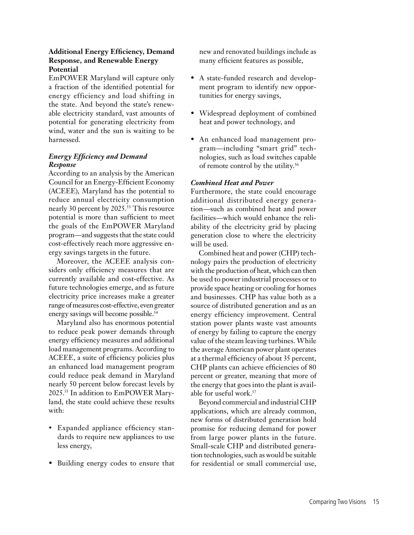### **Additional Energy Efficiency, Demand Response, and Renewable Energy Potential**

EmPOWER Maryland will capture only a fraction of the identified potential for energy efficiency and load shifting in the state. And beyond the state's renewable electricity standard, vast amounts of potential for generating electricity from wind, water and the sun is waiting to be harnessed.

### *Energy Efficiency and Demand Response*

According to an analysis by the American Council for an Energy-Efficient Economy (ACEEE), Maryland has the potential to reduce annual electricity consumption nearly 30 percent by 2025.<sup>53</sup> This resource potential is more than sufficient to meet the goals of the EmPOWER Maryland program—and suggests that the state could cost-effectively reach more aggressive energy savings targets in the future.

Moreover, the ACEEE analysis considers only efficiency measures that are currently available and cost-effective. As future technologies emerge, and as future electricity price increases make a greater range of measures cost-effective, even greater energy savings will become possible.<sup>54</sup>

Maryland also has enormous potential to reduce peak power demands through energy efficiency measures and additional load management programs. According to ACEEE, a suite of efficiency policies plus an enhanced load management program could reduce peak demand in Maryland nearly 50 percent below forecast levels by 2025.55 In addition to EmPOWER Maryland, the state could achieve these results with:

- Expanded appliance efficiency standards to require new appliances to use less energy,
- Building energy codes to ensure that

new and renovated buildings include as many efficient features as possible,

- A state-funded research and development program to identify new opportunities for energy savings,
- Widespread deployment of combined heat and power technology, and
- An enhanced load management program—including "smart grid" technologies, such as load switches capable of remote control by the utility.<sup>56</sup>

### *Combined Heat and Power*

Furthermore, the state could encourage additional distributed energy generation—such as combined heat and power facilities—which would enhance the reliability of the electricity grid by placing generation close to where the electricity will be used.

Combined heat and power (CHP) technology pairs the production of electricity with the production of heat, which can then be used to power industrial processes or to provide space heating or cooling for homes and businesses. CHP has value both as a source of distributed generation and as an energy efficiency improvement. Central station power plants waste vast amounts of energy by failing to capture the energy value of the steam leaving turbines. While the average American power plant operates at a thermal efficiency of about 35 percent, CHP plants can achieve efficiencies of 80 percent or greater, meaning that more of the energy that goes into the plant is available for useful work.57

Beyond commercial and industrial CHP applications, which are already common, new forms of distributed generation hold promise for reducing demand for power from large power plants in the future. Small-scale CHP and distributed generation technologies, such as would be suitable for residential or small commercial use,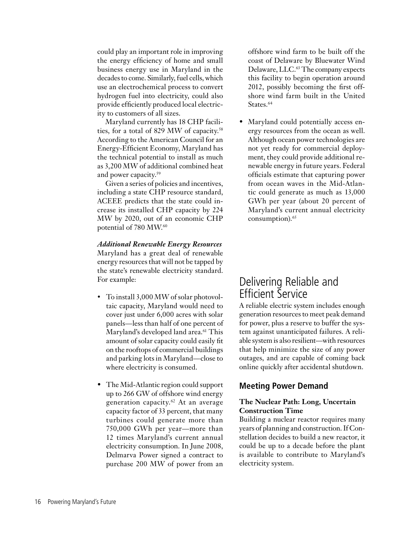could play an important role in improving the energy efficiency of home and small business energy use in Maryland in the decades to come. Similarly, fuel cells, which use an electrochemical process to convert hydrogen fuel into electricity, could also provide efficiently produced local electricity to customers of all sizes.

Maryland currently has 18 CHP facilities, for a total of 829 MW of capacity.58 According to the American Council for an Energy-Efficient Economy, Maryland has the technical potential to install as much as 3,200 MW of additional combined heat and power capacity.59

Given a series of policies and incentives, including a state CHP resource standard, ACEEE predicts that the state could increase its installed CHP capacity by 224 MW by 2020, out of an economic CHP potential of 780 MW.60

*Additional Renewable Energy Resources* Maryland has a great deal of renewable energy resources that will not be tapped by the state's renewable electricity standard. For example:

- To install 3,000 MW of solar photovoltaic capacity, Maryland would need to cover just under 6,000 acres with solar panels—less than half of one percent of Maryland's developed land area.<sup>61</sup> This amount of solar capacity could easily fit on the rooftops of commercial buildings and parking lots in Maryland—close to where electricity is consumed.
- The Mid-Atlantic region could support up to 266 GW of offshore wind energy generation capacity.62 At an average capacity factor of 33 percent, that many turbines could generate more than 750,000 GWh per year—more than 12 times Maryland's current annual electricity consumption. In June 2008, Delmarva Power signed a contract to purchase 200 MW of power from an

offshore wind farm to be built off the coast of Delaware by Bluewater Wind Delaware, LLC.<sup>63</sup> The company expects this facility to begin operation around 2012, possibly becoming the first offshore wind farm built in the United States.<sup>64</sup>

• Maryland could potentially access energy resources from the ocean as well. Although ocean power technologies are not yet ready for commercial deployment, they could provide additional renewable energy in future years. Federal officials estimate that capturing power from ocean waves in the Mid-Atlantic could generate as much as 13,000 GWh per year (about 20 percent of Maryland's current annual electricity consumption).<sup>65</sup>

### Delivering Reliable and Efficient Service

A reliable electric system includes enough generation resources to meet peak demand for power, plus a reserve to buffer the system against unanticipated failures. A reliable system is also resilient—with resources that help minimize the size of any power outages, and are capable of coming back online quickly after accidental shutdown.

### **Meeting Power Demand**

### **The Nuclear Path: Long, Uncertain Construction Time**

Building a nuclear reactor requires many years of planning and construction. If Constellation decides to build a new reactor, it could be up to a decade before the plant is available to contribute to Maryland's electricity system.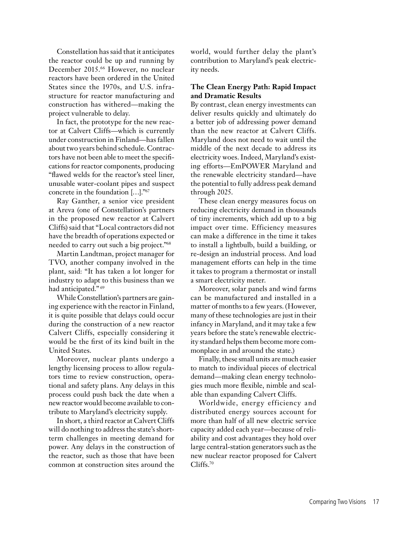Constellation has said that it anticipates the reactor could be up and running by December 2015.66 However, no nuclear reactors have been ordered in the United States since the 1970s, and U.S. infrastructure for reactor manufacturing and construction has withered—making the project vulnerable to delay.

In fact, the prototype for the new reactor at Calvert Cliffs—which is currently under construction in Finland—has fallen about two years behind schedule. Contractors have not been able to meet the specifications for reactor components, producing "flawed welds for the reactor's steel liner, unusable water-coolant pipes and suspect concrete in the foundation […]."67

Ray Ganther, a senior vice president at Areva (one of Constellation's partners in the proposed new reactor at Calvert Cliffs) said that "Local contractors did not have the breadth of operations expected or needed to carry out such a big project."68

Martin Landtman, project manager for TVO, another company involved in the plant, said: "It has taken a lot longer for industry to adapt to this business than we had anticipated."<sup>69</sup>

While Constellation's partners are gaining experience with the reactor in Finland, it is quite possible that delays could occur during the construction of a new reactor Calvert Cliffs, especially considering it would be the first of its kind built in the United States.

Moreover, nuclear plants undergo a lengthy licensing process to allow regulators time to review construction, operational and safety plans. Any delays in this process could push back the date when a new reactor would become available to contribute to Maryland's electricity supply.

In short, a third reactor at Calvert Cliffs will do nothing to address the state's shortterm challenges in meeting demand for power. Any delays in the construction of the reactor, such as those that have been common at construction sites around the

world, would further delay the plant's contribution to Maryland's peak electricity needs.

### **The Clean Energy Path: Rapid Impact and Dramatic Results**

By contrast, clean energy investments can deliver results quickly and ultimately do a better job of addressing power demand than the new reactor at Calvert Cliffs. Maryland does not need to wait until the middle of the next decade to address its electricity woes. Indeed, Maryland's existing efforts—EmPOWER Maryland and the renewable electricity standard—have the potential to fully address peak demand through 2025.

These clean energy measures focus on reducing electricity demand in thousands of tiny increments, which add up to a big impact over time. Efficiency measures can make a difference in the time it takes to install a lightbulb, build a building, or re-design an industrial process. And load management efforts can help in the time it takes to program a thermostat or install a smart electricity meter.

Moreover, solar panels and wind farms can be manufactured and installed in a matter of months to a few years. (However, many of these technologies are just in their infancy in Maryland, and it may take a few years before the state's renewable electricity standard helps them become more commonplace in and around the state.)

Finally, these small units are much easier to match to individual pieces of electrical demand—making clean energy technologies much more flexible, nimble and scalable than expanding Calvert Cliffs.

Worldwide, energy efficiency and distributed energy sources account for more than half of all new electric service capacity added each year—because of reliability and cost advantages they hold over large central-station generators such as the new nuclear reactor proposed for Calvert Cliffs.<sup>70</sup>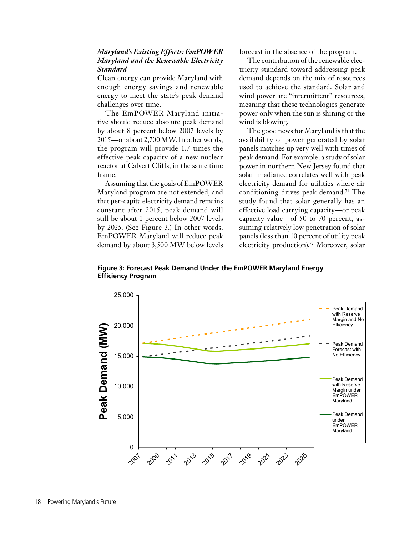### *Maryland's Existing Efforts: EmPOWER Maryland and the Renewable Electricity Standard*

Clean energy can provide Maryland with enough energy savings and renewable energy to meet the state's peak demand challenges over time.

The EmPOWER Maryland initiative should reduce absolute peak demand by about 8 percent below 2007 levels by 2015—or about 2,700 MW. In other words, the program will provide 1.7 times the effective peak capacity of a new nuclear reactor at Calvert Cliffs, in the same time frame.

Assuming that the goals of EmPOWER Maryland program are not extended, and that per-capita electricity demand remains constant after 2015, peak demand will still be about 1 percent below 2007 levels by 2025. (See Figure 3.) In other words, EmPOWER Maryland will reduce peak demand by about 3,500 MW below levels forecast in the absence of the program.

The contribution of the renewable electricity standard toward addressing peak demand depends on the mix of resources used to achieve the standard. Solar and wind power are "intermittent" resources, meaning that these technologies generate power only when the sun is shining or the wind is blowing.

The good news for Maryland is that the availability of power generated by solar panels matches up very well with times of peak demand. For example, a study of solar power in northern New Jersey found that solar irradiance correlates well with peak electricity demand for utilities where air conditioning drives peak demand.<sup>71</sup> The study found that solar generally has an effective load carrying capacity—or peak capacity value—of 50 to 70 percent, assuming relatively low penetration of solar panels (less than 10 percent of utility peak electricity production).<sup>72</sup> Moreover, solar



**Figure 3: Forecast Peak Demand Under the EmPOWER Maryland Energy Efficiency Program**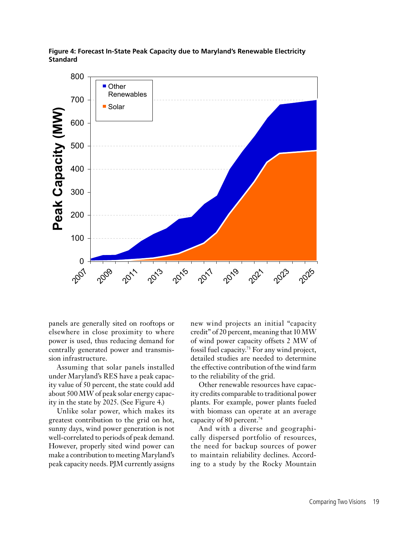

**Figure 4: Forecast In-State Peak Capacity due to Maryland's Renewable Electricity Standard**

panels are generally sited on rooftops or elsewhere in close proximity to where power is used, thus reducing demand for centrally generated power and transmission infrastructure.

Assuming that solar panels installed under Maryland's RES have a peak capacity value of 50 percent, the state could add about 500 MW of peak solar energy capacity in the state by 2025. (See Figure 4.)

Unlike solar power, which makes its greatest contribution to the grid on hot, sunny days, wind power generation is not well-correlated to periods of peak demand. However, properly sited wind power can make a contribution to meeting Maryland's peak capacity needs. PJM currently assigns new wind projects an initial "capacity credit" of 20 percent, meaning that 10 MW of wind power capacity offsets 2 MW of fossil fuel capacity.73 For any wind project, detailed studies are needed to determine the effective contribution of the wind farm to the reliability of the grid.

Other renewable resources have capacity credits comparable to traditional power plants. For example, power plants fueled with biomass can operate at an average capacity of 80 percent.<sup>74</sup>

And with a diverse and geographically dispersed portfolio of resources, the need for backup sources of power to maintain reliability declines. According to a study by the Rocky Mountain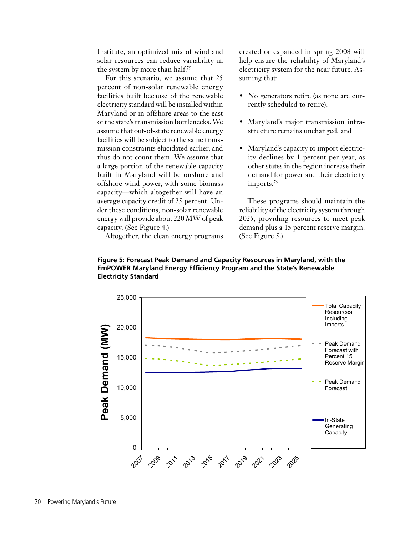Institute, an optimized mix of wind and solar resources can reduce variability in the system by more than half.<sup>75</sup>

For this scenario, we assume that 25 percent of non-solar renewable energy facilities built because of the renewable electricity standard will be installed within Maryland or in offshore areas to the east of the state's transmission bottlenecks. We assume that out-of-state renewable energy facilities will be subject to the same transmission constraints elucidated earlier, and thus do not count them. We assume that a large portion of the renewable capacity built in Maryland will be onshore and offshore wind power, with some biomass capacity—which altogether will have an average capacity credit of 25 percent. Under these conditions, non-solar renewable energy will provide about 220 MW of peak capacity. (See Figure 4.)

Altogether, the clean energy programs

created or expanded in spring 2008 will help ensure the reliability of Maryland's electricity system for the near future. Assuming that:

- No generators retire (as none are currently scheduled to retire),
- Maryland's major transmission infrastructure remains unchanged, and
- Maryland's capacity to import electricity declines by 1 percent per year, as other states in the region increase their demand for power and their electricity imports,<sup>76</sup>

These programs should maintain the reliability of the electricity system through 2025, providing resources to meet peak demand plus a 15 percent reserve margin. (See Figure 5.)



### **Figure 5: Forecast Peak Demand and Capacity Resources in Maryland, with the EmPOWER Maryland Energy Efficiency Program and the State's Renewable Electricity Standard**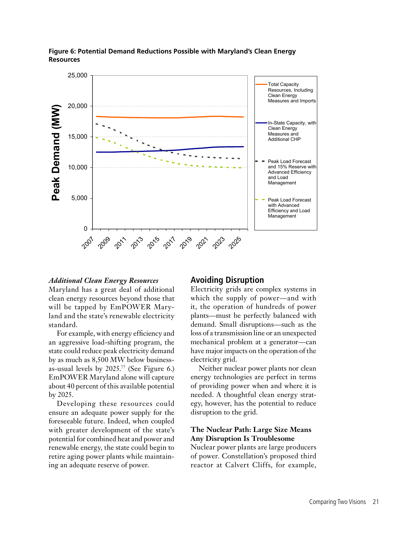

### **Figure 6: Potential Demand Reductions Possible with Maryland's Clean Energy Resources**

#### *Additional Clean Energy Resources*

Maryland has a great deal of additional clean energy resources beyond those that will be tapped by EmPOWER Maryland and the state's renewable electricity standard.

For example, with energy efficiency and an aggressive load-shifting program, the state could reduce peak electricity demand by as much as 8,500 MW below businessas-usual levels by 2025.77 (See Figure 6.) EmPOWER Maryland alone will capture about 40 percent of this available potential by 2025.

Developing these resources could ensure an adequate power supply for the foreseeable future. Indeed, when coupled with greater development of the state's potential for combined heat and power and renewable energy, the state could begin to retire aging power plants while maintaining an adequate reserve of power.

### **Avoiding Disruption**

Electricity grids are complex systems in which the supply of power—and with it, the operation of hundreds of power plants—must be perfectly balanced with demand. Small disruptions—such as the loss of a transmission line or an unexpected mechanical problem at a generator—can have major impacts on the operation of the electricity grid.

Neither nuclear power plants nor clean energy technologies are perfect in terms of providing power when and where it is needed. A thoughtful clean energy strategy, however, has the potential to reduce disruption to the grid.

### **The Nuclear Path: Large Size Means Any Disruption Is Troublesome**

Nuclear power plants are large producers of power. Constellation's proposed third reactor at Calvert Cliffs, for example,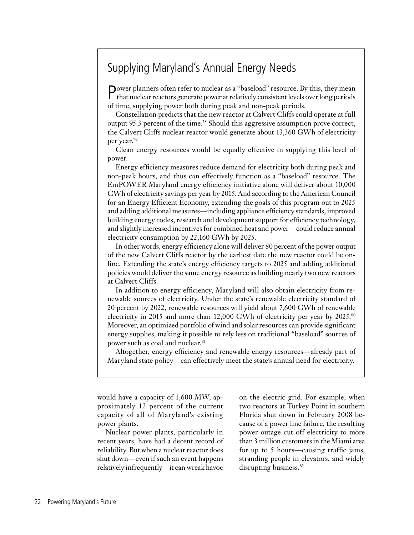### Supplying Maryland's Annual Energy Needs

Power planners often refer to nuclear as a "baseload" resource. By this, they mean that nuclear reactors generate power at relatively consistent levels over long periods of time, supplying power both during peak and non-peak periods.

Constellation predicts that the new reactor at Calvert Cliffs could operate at full output 95.3 percent of the time.78 Should this aggressive assumption prove correct, the Calvert Cliffs nuclear reactor would generate about 13,360 GWh of electricity per year.79

Clean energy resources would be equally effective in supplying this level of power.

Energy efficiency measures reduce demand for electricity both during peak and non-peak hours, and thus can effectively function as a "baseload" resource. The EmPOWER Maryland energy efficiency initiative alone will deliver about 10,000 GWh of electricity savings per year by 2015. And according to the American Council for an Energy Efficient Economy, extending the goals of this program out to 2025 and adding additional measures—including appliance efficiency standards, improved building energy codes, research and development support for efficiency technology, and slightly increased incentives for combined heat and power—could reduce annual electricity consumption by 22,160 GWh by 2025.

In other words, energy efficiency alone will deliver 80 percent of the power output of the new Calvert Cliffs reactor by the earliest date the new reactor could be online. Extending the state's energy efficiency targets to 2025 and adding additional policies would deliver the same energy resource as building nearly two new reactors at Calvert Cliffs.

In addition to energy efficiency, Maryland will also obtain electricity from renewable sources of electricity. Under the state's renewable electricity standard of 20 percent by 2022, renewable resources will yield about 7,600 GWh of renewable electricity in 2015 and more than 12,000 GWh of electricity per year by 2025.<sup>80</sup> Moreover, an optimized portfolio of wind and solar resources can provide significant energy supplies, making it possible to rely less on traditional "baseload" sources of power such as coal and nuclear.<sup>81</sup>

Altogether, energy efficiency and renewable energy resources—already part of Maryland state policy—can effectively meet the state's annual need for electricity.

would have a capacity of 1,600 MW, approximately 12 percent of the current capacity of all of Maryland's existing power plants.

Nuclear power plants, particularly in recent years, have had a decent record of reliability. But when a nuclear reactor does shut down—even if such an event happens relatively infrequently—it can wreak havoc on the electric grid. For example, when two reactors at Turkey Point in southern Florida shut down in February 2008 because of a power line failure, the resulting power outage cut off electricity to more than 3 million customers in the Miami area for up to 5 hours—causing traffic jams, stranding people in elevators, and widely disrupting business.<sup>82</sup>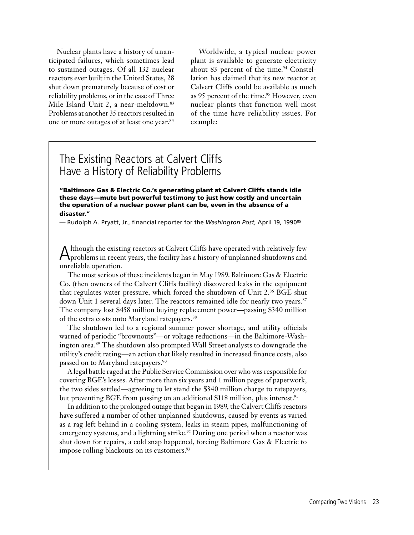Nuclear plants have a history of unanticipated failures, which sometimes lead to sustained outages. Of all 132 nuclear reactors ever built in the United States, 28 shut down prematurely because of cost or reliability problems, or in the case of Three Mile Island Unit 2, a near-meltdown.<sup>83</sup> Problems at another 35 reactors resulted in one or more outages of at least one year.84

Worldwide, a typical nuclear power plant is available to generate electricity about 83 percent of the time. $94$  Constellation has claimed that its new reactor at Calvert Cliffs could be available as much as 95 percent of the time.<sup>95</sup> However, even nuclear plants that function well most of the time have reliability issues. For example:

### The Existing Reactors at Calvert Cliffs Have a History of Reliability Problems

"Baltimore Gas & Electric Co.'s generating plant at Calvert Cliffs stands idle these days—mute but powerful testimony to just how costly and uncertain the operation of a nuclear power plant can be, even in the absence of a disaster."

— Rudolph A. Pryatt, Jr., financial reporter for the *Washington Post*, April 19, 199085

Although the existing reactors at Calvert Cliffs have operated with relatively few problems in recent years, the facility has a history of unplanned shutdowns and unreliable operation.

The most serious of these incidents began in May 1989. Baltimore Gas & Electric Co. (then owners of the Calvert Cliffs facility) discovered leaks in the equipment that regulates water pressure, which forced the shutdown of Unit 2.86 BGE shut down Unit 1 several days later. The reactors remained idle for nearly two years.<sup>87</sup> The company lost \$458 million buying replacement power—passing \$340 million of the extra costs onto Maryland ratepayers.<sup>88</sup>

The shutdown led to a regional summer power shortage, and utility officials warned of periodic "brownouts"—or voltage reductions—in the Baltimore-Washington area.89 The shutdown also prompted Wall Street analysts to downgrade the utility's credit rating—an action that likely resulted in increased finance costs, also passed on to Maryland ratepayers.<sup>90</sup>

A legal battle raged at the Public Service Commission over who was responsible for covering BGE's losses. After more than six years and 1 million pages of paperwork, the two sides settled—agreeing to let stand the \$340 million charge to ratepayers, but preventing BGE from passing on an additional \$118 million, plus interest.<sup>91</sup>

In addition to the prolonged outage that began in 1989, the Calvert Cliffs reactors have suffered a number of other unplanned shutdowns, caused by events as varied as a rag left behind in a cooling system, leaks in steam pipes, malfunctioning of emergency systems, and a lightning strike.<sup>92</sup> During one period when a reactor was shut down for repairs, a cold snap happened, forcing Baltimore Gas & Electric to impose rolling blackouts on its customers.<sup>93</sup>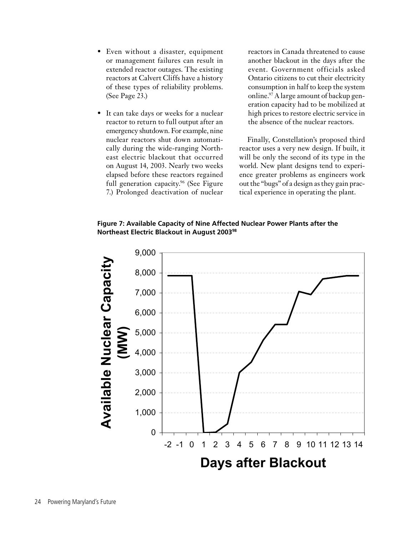- Even without a disaster, equipment or management failures can result in extended reactor outages. The existing reactors at Calvert Cliffs have a history of these types of reliability problems. (See Page 23.)
- It can take days or weeks for a nuclear reactor to return to full output after an emergency shutdown. For example, nine nuclear reactors shut down automatically during the wide-ranging Northeast electric blackout that occurred on August 14, 2003. Nearly two weeks elapsed before these reactors regained full generation capacity.<sup>96</sup> (See Figure 7.) Prolonged deactivation of nuclear

reactors in Canada threatened to cause another blackout in the days after the event. Government officials asked Ontario citizens to cut their electricity consumption in half to keep the system online.<sup>97</sup> A large amount of backup generation capacity had to be mobilized at high prices to restore electric service in the absence of the nuclear reactors.

Finally, Constellation's proposed third reactor uses a very new design. If built, it will be only the second of its type in the world. New plant designs tend to experience greater problems as engineers work out the "bugs" of a design as they gain practical experience in operating the plant.

**Figure 7: Available Capacity of Nine Affected Nuclear Power Plants after the Northeast Electric Blackout in August 200398**

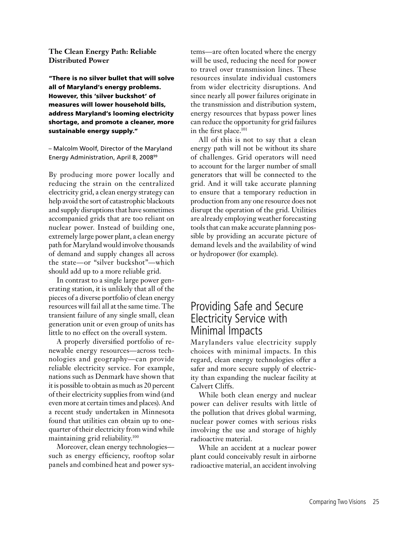#### **The Clean Energy Path: Reliable Distributed Power**

"There is no silver bullet that will solve all of Maryland's energy problems. However, this 'silver buckshot' of measures will lower household bills, address Maryland's looming electricity shortage, and promote a cleaner, more sustainable energy supply."

– Malcolm Woolf, Director of the Maryland Energy Administration, April 8, 200899

By producing more power locally and reducing the strain on the centralized electricity grid, a clean energy strategy can help avoid the sort of catastrophic blackouts and supply disruptions that have sometimes accompanied grids that are too reliant on nuclear power. Instead of building one, extremely large power plant, a clean energy path for Maryland would involve thousands of demand and supply changes all across the state—or "silver buckshot"—which should add up to a more reliable grid.

In contrast to a single large power generating station, it is unlikely that all of the pieces of a diverse portfolio of clean energy resources will fail all at the same time. The transient failure of any single small, clean generation unit or even group of units has little to no effect on the overall system.

A properly diversified portfolio of renewable energy resources—across technologies and geography—can provide reliable electricity service. For example, nations such as Denmark have shown that it is possible to obtain as much as 20 percent of their electricity supplies from wind (and even more at certain times and places). And a recent study undertaken in Minnesota found that utilities can obtain up to onequarter of their electricity from wind while maintaining grid reliability.100

Moreover, clean energy technologies such as energy efficiency, rooftop solar panels and combined heat and power systems—are often located where the energy will be used, reducing the need for power to travel over transmission lines. These resources insulate individual customers from wider electricity disruptions. And since nearly all power failures originate in the transmission and distribution system, energy resources that bypass power lines can reduce the opportunity for grid failures in the first place.<sup>101</sup>

All of this is not to say that a clean energy path will not be without its share of challenges. Grid operators will need to account for the larger number of small generators that will be connected to the grid. And it will take accurate planning to ensure that a temporary reduction in production from any one resource does not disrupt the operation of the grid. Utilities are already employing weather forecasting tools that can make accurate planning possible by providing an accurate picture of demand levels and the availability of wind or hydropower (for example).

### Providing Safe and Secure Electricity Service with Minimal Impacts

Marylanders value electricity supply choices with minimal impacts. In this regard, clean energy technologies offer a safer and more secure supply of electricity than expanding the nuclear facility at Calvert Cliffs.

While both clean energy and nuclear power can deliver results with little of the pollution that drives global warming, nuclear power comes with serious risks involving the use and storage of highly radioactive material.

While an accident at a nuclear power plant could conceivably result in airborne radioactive material, an accident involving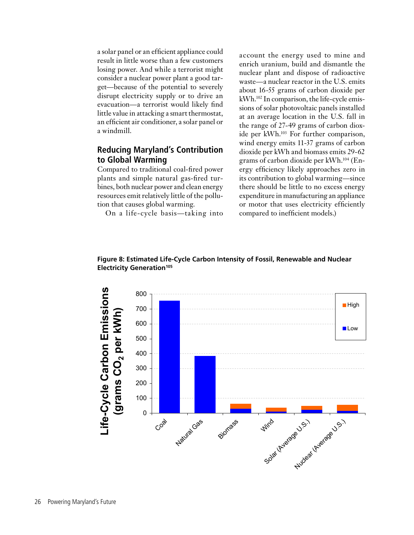a solar panel or an efficient appliance could result in little worse than a few customers losing power. And while a terrorist might consider a nuclear power plant a good target—because of the potential to severely disrupt electricity supply or to drive an evacuation—a terrorist would likely find little value in attacking a smart thermostat, an efficient air conditioner, a solar panel or a windmill.

### **Reducing Maryland's Contribution to Global Warming**

Compared to traditional coal-fired power plants and simple natural gas-fired turbines, both nuclear power and clean energy resources emit relatively little of the pollution that causes global warming.

On a life-cycle basis—taking into

account the energy used to mine and enrich uranium, build and dismantle the nuclear plant and dispose of radioactive waste—a nuclear reactor in the U.S. emits about 16-55 grams of carbon dioxide per kWh.102 In comparison, the life-cycle emissions of solar photovoltaic panels installed at an average location in the U.S. fall in the range of 27-49 grams of carbon dioxide per kWh.103 For further comparison, wind energy emits 11-37 grams of carbon dioxide per kWh and biomass emits 29-62 grams of carbon dioxide per kWh.104 (Energy efficiency likely approaches zero in its contribution to global warming—since there should be little to no excess energy expenditure in manufacturing an appliance or motor that uses electricity efficiently compared to inefficient models.)



**Figure 8: Estimated Life-Cycle Carbon Intensity of Fossil, Renewable and Nuclear Electricity Generation<sup>105</sup>**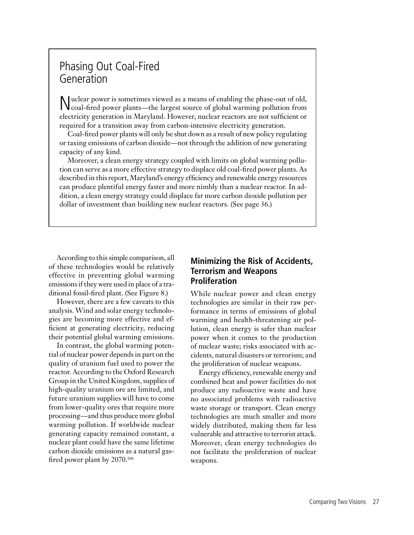### Phasing Out Coal-Fired Generation

Nuclear power is sometimes viewed as a means of enabling the phase-out of old, coal-fired power plants—the largest source of global warming pollution from electricity generation in Maryland. However, nuclear reactors are not sufficient or required for a transition away from carbon-intensive electricity generation.

Coal-fired power plants will only be shut down as a result of new policy regulating or taxing emissions of carbon dioxide—not through the addition of new generating capacity of any kind.

Moreover, a clean energy strategy coupled with limits on global warming pollution can serve as a more effective strategy to displace old coal-fired power plants. As described in this report, Maryland's energy efficiency and renewable energy resources can produce plentiful energy faster and more nimbly than a nuclear reactor. In addition, a clean energy strategy could displace far more carbon dioxide pollution per dollar of investment than building new nuclear reactors. (See page 36.)

According to this simple comparison, all of these technologies would be relatively effective in preventing global warming emissions if they were used in place of a traditional fossil-fired plant. (See Figure 8.)

However, there are a few caveats to this analysis. Wind and solar energy technologies are becoming more effective and efficient at generating electricity, reducing their potential global warming emissions.

In contrast, the global warming potential of nuclear power depends in part on the quality of uranium fuel used to power the reactor. According to the Oxford Research Group in the United Kingdom, supplies of high-quality uranium ore are limited, and future uranium supplies will have to come from lower-quality ores that require more processing—and thus produce more global warming pollution. If worldwide nuclear generating capacity remained constant, a nuclear plant could have the same lifetime carbon dioxide emissions as a natural gasfired power plant by 2070.106

### **Minimizing the Risk of Accidents, Terrorism and Weapons Proliferation**

While nuclear power and clean energy technologies are similar in their raw performance in terms of emissions of global warming and health-threatening air pollution, clean energy is safer than nuclear power when it comes to the production of nuclear waste; risks associated with accidents, natural disasters or terrorism; and the proliferation of nuclear weapons.

Energy efficiency, renewable energy and combined heat and power facilities do not produce any radioactive waste and have no associated problems with radioactive waste storage or transport. Clean energy technologies are much smaller and more widely distributed, making them far less vulnerable and attractive to terrorist attack. Moreover, clean energy technologies do not facilitate the proliferation of nuclear weapons.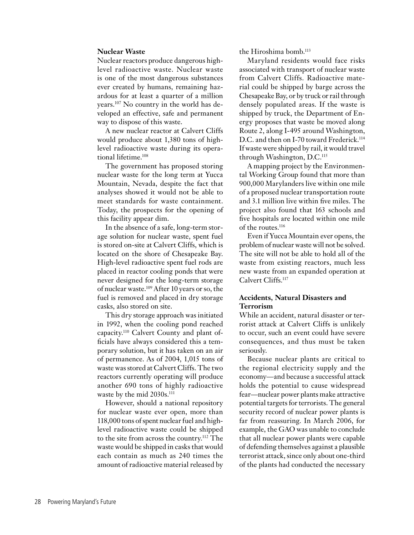#### **Nuclear Waste**

Nuclear reactors produce dangerous highlevel radioactive waste. Nuclear waste is one of the most dangerous substances ever created by humans, remaining hazardous for at least a quarter of a million years.107 No country in the world has developed an effective, safe and permanent way to dispose of this waste.

A new nuclear reactor at Calvert Cliffs would produce about 1,380 tons of highlevel radioactive waste during its operational lifetime.108

The government has proposed storing nuclear waste for the long term at Yucca Mountain, Nevada, despite the fact that analyses showed it would not be able to meet standards for waste containment. Today, the prospects for the opening of this facility appear dim.

In the absence of a safe, long-term storage solution for nuclear waste, spent fuel is stored on-site at Calvert Cliffs, which is located on the shore of Chesapeake Bay. High-level radioactive spent fuel rods are placed in reactor cooling ponds that were never designed for the long-term storage of nuclear waste.109 After 10 years or so, the fuel is removed and placed in dry storage casks, also stored on site.

This dry storage approach was initiated in 1992, when the cooling pond reached capacity.110 Calvert County and plant officials have always considered this a temporary solution, but it has taken on an air of permanence. As of 2004, 1,015 tons of waste was stored at Calvert Cliffs. The two reactors currently operating will produce another 690 tons of highly radioactive waste by the mid 2030s.<sup>111</sup>

However, should a national repository for nuclear waste ever open, more than 118,000 tons of spent nuclear fuel and highlevel radioactive waste could be shipped to the site from across the country.112 The waste would be shipped in casks that would each contain as much as 240 times the amount of radioactive material released by the Hiroshima bomb.<sup>113</sup>

Maryland residents would face risks associated with transport of nuclear waste from Calvert Cliffs. Radioactive material could be shipped by barge across the Chesapeake Bay, or by truck or rail through densely populated areas. If the waste is shipped by truck, the Department of Energy proposes that waste be moved along Route 2, along I-495 around Washington, D.C. and then on I-70 toward Frederick.<sup>114</sup> If waste were shipped by rail, it would travel through Washington, D.C.115

A mapping project by the Environmental Working Group found that more than 900,000 Marylanders live within one mile of a proposed nuclear transportation route and 3.1 million live within five miles. The project also found that 163 schools and five hospitals are located within one mile of the routes.<sup>116</sup>

Even if Yucca Mountain ever opens, the problem of nuclear waste will not be solved. The site will not be able to hold all of the waste from existing reactors, much less new waste from an expanded operation at Calvert Cliffs.117

#### **Accidents, Natural Disasters and Terrorism**

While an accident, natural disaster or terrorist attack at Calvert Cliffs is unlikely to occur, such an event could have severe consequences, and thus must be taken seriously.

Because nuclear plants are critical to the regional electricity supply and the economy—and because a successful attack holds the potential to cause widespread fear—nuclear power plants make attractive potential targets for terrorists. The general security record of nuclear power plants is far from reassuring. In March 2006, for example, the GAO was unable to conclude that all nuclear power plants were capable of defending themselves against a plausible terrorist attack, since only about one-third of the plants had conducted the necessary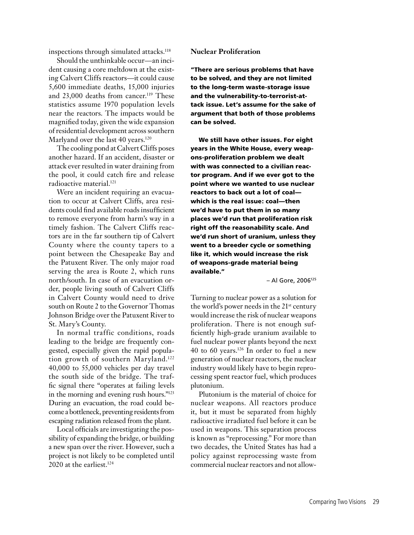inspections through simulated attacks.<sup>118</sup>

Should the unthinkable occur—an incident causing a core meltdown at the existing Calvert Cliffs reactors—it could cause 5,600 immediate deaths, 15,000 injuries and 23,000 deaths from cancer.<sup>119</sup> These statistics assume 1970 population levels near the reactors. The impacts would be magnified today, given the wide expansion of residential development across southern Marlyand over the last 40 years.<sup>120</sup>

The cooling pond at Calvert Cliffs poses another hazard. If an accident, disaster or attack ever resulted in water draining from the pool, it could catch fire and release radioactive material.121

Were an incident requiring an evacuation to occur at Calvert Cliffs, area residents could find available roads insufficient to remove everyone from harm's way in a timely fashion. The Calvert Cliffs reactors are in the far southern tip of Calvert County where the county tapers to a point between the Chesapeake Bay and the Patuxent River. The only major road serving the area is Route 2, which runs north/south. In case of an evacuation order, people living south of Calvert Cliffs in Calvert County would need to drive south on Route 2 to the Governor Thomas Johnson Bridge over the Patuxent River to St. Mary's County.

In normal traffic conditions, roads leading to the bridge are frequently congested, especially given the rapid population growth of southern Maryland.122 40,000 to 55,000 vehicles per day travel the south side of the bridge. The traffic signal there "operates at failing levels in the morning and evening rush hours."123 During an evacuation, the road could become a bottleneck, preventing residents from escaping radiation released from the plant.

Local officials are investigating the possibility of expanding the bridge, or building a new span over the river. However, such a project is not likely to be completed until 2020 at the earliest.<sup>124</sup>

#### **Nuclear Proliferation**

"There are serious problems that have to be solved, and they are not limited to the long-term waste-storage issue and the vulnerability-to-terrorist-attack issue. Let's assume for the sake of argument that both of those problems can be solved.

We still have other issues. For eight years in the White House, every weapons-proliferation problem we dealt with was connected to a civilian reactor program. And if we ever got to the point where we wanted to use nuclear reactors to back out a lot of coal which is the real issue: coal—then we'd have to put them in so many places we'd run that proliferation risk right off the reasonability scale. And we'd run short of uranium, unless they went to a breeder cycle or something like it, which would increase the risk of weapons-grade material being available."

– Al Gore, 2006125

Turning to nuclear power as a solution for the world's power needs in the 21<sup>st</sup> century would increase the risk of nuclear weapons proliferation. There is not enough sufficiently high-grade uranium available to fuel nuclear power plants beyond the next 40 to 60 years.126 In order to fuel a new generation of nuclear reactors, the nuclear industry would likely have to begin reprocessing spent reactor fuel, which produces plutonium.

Plutonium is the material of choice for nuclear weapons. All reactors produce it, but it must be separated from highly radioactive irradiated fuel before it can be used in weapons. This separation process is known as "reprocessing." For more than two decades, the United States has had a policy against reprocessing waste from commercial nuclear reactors and not allow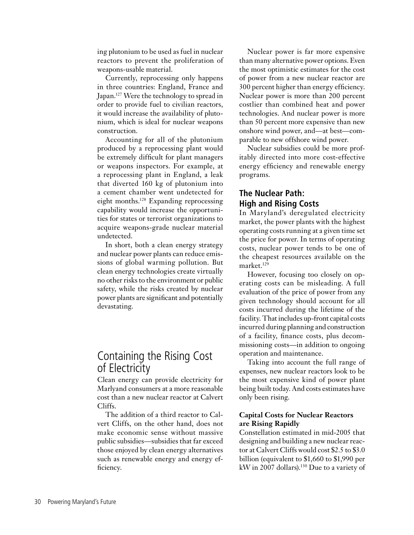ing plutonium to be used as fuel in nuclear reactors to prevent the proliferation of weapons-usable material.

Currently, reprocessing only happens in three countries: England, France and Japan.<sup>127</sup> Were the technology to spread in order to provide fuel to civilian reactors, it would increase the availability of plutonium, which is ideal for nuclear weapons construction.

Accounting for all of the plutonium produced by a reprocessing plant would be extremely difficult for plant managers or weapons inspectors. For example, at a reprocessing plant in England, a leak that diverted 160 kg of plutonium into a cement chamber went undetected for eight months.128 Expanding reprocessing capability would increase the opportunities for states or terrorist organizations to acquire weapons-grade nuclear material undetected.

In short, both a clean energy strategy and nuclear power plants can reduce emissions of global warming pollution. But clean energy technologies create virtually no other risks to the environment or public safety, while the risks created by nuclear power plants are significant and potentially devastating.

### Containing the Rising Cost of Electricity

Clean energy can provide electricity for Marlyand consumers at a more reasonable cost than a new nuclear reactor at Calvert Cliffs.

The addition of a third reactor to Calvert Cliffs, on the other hand, does not make economic sense without massive public subsidies—subsidies that far exceed those enjoyed by clean energy alternatives such as renewable energy and energy efficiency.

Nuclear power is far more expensive than many alternative power options. Even the most optimistic estimates for the cost of power from a new nuclear reactor are 300 percent higher than energy efficiency. Nuclear power is more than 200 percent costlier than combined heat and power technologies. And nuclear power is more than 50 percent more expensive than new onshore wind power, and—at best—comparable to new offshore wind power.

Nuclear subsidies could be more profitably directed into more cost-effective energy efficiency and renewable energy programs.

### **The Nuclear Path: High and Rising Costs**

In Maryland's deregulated electricity market, the power plants with the highest operating costs running at a given time set the price for power. In terms of operating costs, nuclear power tends to be one of the cheapest resources available on the market.<sup>129</sup>

However, focusing too closely on operating costs can be misleading. A full evaluation of the price of power from any given technology should account for all costs incurred during the lifetime of the facility. That includes up-front capital costs incurred during planning and construction of a facility, finance costs, plus decommissioning costs—in addition to ongoing operation and maintenance.

Taking into account the full range of expenses, new nuclear reactors look to be the most expensive kind of power plant being built today. And costs estimates have only been rising.

#### **Capital Costs for Nuclear Reactors are Rising Rapidly**

Constellation estimated in mid-2005 that designing and building a new nuclear reactor at Calvert Cliffs would cost \$2.5 to \$3.0 billion (equivalent to \$1,660 to \$1,990 per kW in 2007 dollars).<sup>130</sup> Due to a variety of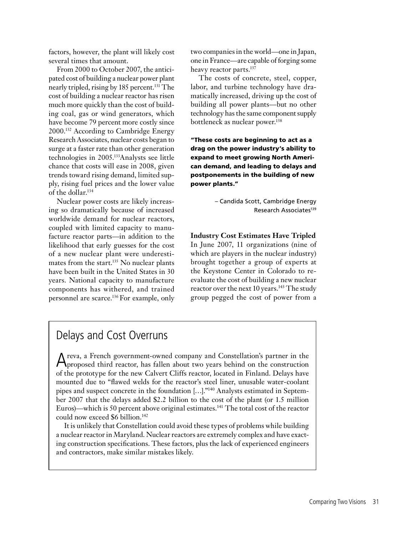factors, however, the plant will likely cost several times that amount.

From 2000 to October 2007, the anticipated cost of building a nuclear power plant nearly tripled, rising by 185 percent.<sup>131</sup> The cost of building a nuclear reactor has risen much more quickly than the cost of building coal, gas or wind generators, which have become 79 percent more costly since 2000.132 According to Cambridge Energy Research Associates, nuclear costs began to surge at a faster rate than other generation technologies in 2005.133Analysts see little chance that costs will ease in 2008, given trends toward rising demand, limited supply, rising fuel prices and the lower value of the dollar.134

Nuclear power costs are likely increasing so dramatically because of increased worldwide demand for nuclear reactors, coupled with limited capacity to manufacture reactor parts—in addition to the likelihood that early guesses for the cost of a new nuclear plant were underestimates from the start.<sup>135</sup> No nuclear plants have been built in the United States in 30 years. National capacity to manufacture components has withered, and trained personnel are scarce.136 For example, only

two companies in the world—one in Japan, one in France—are capable of forging some heavy reactor parts.<sup>137</sup>

The costs of concrete, steel, copper, labor, and turbine technology have dramatically increased, driving up the cost of building all power plants—but no other technology has the same component supply bottleneck as nuclear power.138

"These costs are beginning to act as a drag on the power industry's ability to expand to meet growing North American demand, and leading to delays and postponements in the building of new power plants."

> – Candida Scott, Cambridge Energy Research Associates<sup>139</sup>

**Industry Cost Estimates Have Tripled** In June 2007, 11 organizations (nine of which are players in the nuclear industry) brought together a group of experts at the Keystone Center in Colorado to reevaluate the cost of building a new nuclear reactor over the next 10 years.<sup>143</sup> The study group pegged the cost of power from a

### Delays and Cost Overruns

Areva, a French government-owned company and Constellation's partner in the proposed third reactor, has fallen about two years behind on the construction of the prototype for the new Calvert Cliffs reactor, located in Finland. Delays have mounted due to "flawed welds for the reactor's steel liner, unusable water-coolant pipes and suspect concrete in the foundation […]."140 Analysts estimated in September 2007 that the delays added \$2.2 billion to the cost of the plant (or 1.5 million Euros)—which is 50 percent above original estimates.141 The total cost of the reactor could now exceed \$6 billion.<sup>142</sup>

It is unlikely that Constellation could avoid these types of problems while building a nuclear reactor in Maryland. Nuclear reactors are extremely complex and have exacting construction specifications. These factors, plus the lack of experienced engineers and contractors, make similar mistakes likely.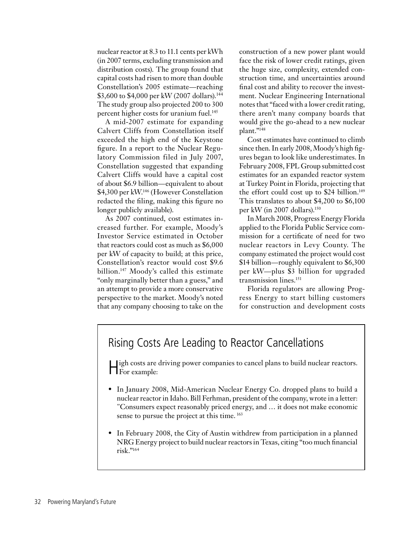nuclear reactor at 8.3 to 11.1 cents per kWh (in 2007 terms, excluding transmission and distribution costs). The group found that capital costs had risen to more than double Constellation's 2005 estimate—reaching \$3,600 to \$4,000 per kW (2007 dollars).<sup>144</sup> The study group also projected 200 to 300 percent higher costs for uranium fuel.<sup>145</sup>

A mid-2007 estimate for expanding Calvert Cliffs from Constellation itself exceeded the high end of the Keystone figure. In a report to the Nuclear Regulatory Commission filed in July 2007, Constellation suggested that expanding Calvert Cliffs would have a capital cost of about \$6.9 billion—equivalent to about \$4,300 per kW.<sup>146</sup> (However Constellation redacted the filing, making this figure no longer publicly available).

As 2007 continued, cost estimates increased further. For example, Moody's Investor Service estimated in October that reactors could cost as much as \$6,000 per kW of capacity to build; at this price, Constellation's reactor would cost \$9.6 billion.147 Moody's called this estimate "only marginally better than a guess," and an attempt to provide a more conservative perspective to the market. Moody's noted that any company choosing to take on the construction of a new power plant would face the risk of lower credit ratings, given the huge size, complexity, extended construction time, and uncertainties around final cost and ability to recover the investment. Nuclear Engineering International notes that "faced with a lower credit rating, there aren't many company boards that would give the go-ahead to a new nuclear plant."148

Cost estimates have continued to climb since then. In early 2008, Moody's high figures began to look like underestimates. In February 2008, FPL Group submitted cost estimates for an expanded reactor system at Turkey Point in Florida, projecting that the effort could cost up to \$24 billion.<sup>149</sup> This translates to about \$4,200 to \$6,100 per kW (in 2007 dollars).150

In March 2008, Progress Energy Florida applied to the Florida Public Service commission for a certificate of need for two nuclear reactors in Levy County. The company estimated the project would cost \$14 billion—roughly equivalent to \$6,300 per kW—plus \$3 billion for upgraded transmission lines.151

Florida regulators are allowing Progress Energy to start billing customers for construction and development costs

### Rising Costs Are Leading to Reactor Cancellations

ligh costs are driving power companies to cancel plans to build nuclear reactors. **T**For example:

- In January 2008, Mid-American Nuclear Energy Co. dropped plans to build a nuclear reactor in Idaho. Bill Ferhman, president of the company, wrote in a letter: "Consumers expect reasonably priced energy, and … it does not make economic sense to pursue the project at this time. <sup>163</sup>
- In February 2008, the City of Austin withdrew from participation in a planned NRG Energy project to build nuclear reactors in Texas, citing "too much financial risk."164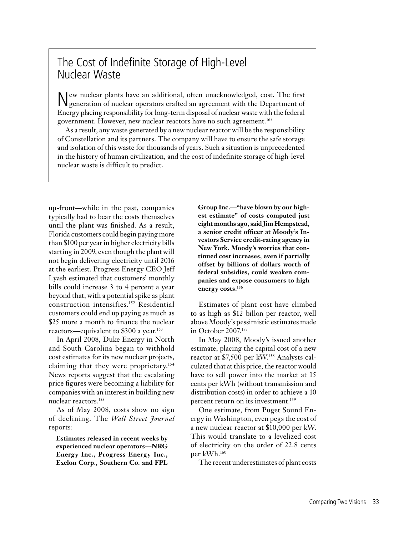### The Cost of Indefinite Storage of High-Level Nuclear Waste

New nuclear plants have an additional, often unacknowledged, cost. The first generation of nuclear operators crafted an agreement with the Department of Energy placing responsibility for long-term disposal of nuclear waste with the federal government. However, new nuclear reactors have no such agreement.165

As a result, any waste generated by a new nuclear reactor will be the responsibility of Constellation and its partners. The company will have to ensure the safe storage and isolation of this waste for thousands of years. Such a situation is unprecedented in the history of human civilization, and the cost of indefinite storage of high-level nuclear waste is difficult to predict.

up-front—while in the past, companies typically had to bear the costs themselves until the plant was finished. As a result, Florida customers could begin paying more than \$100 per year in higher electricity bills starting in 2009, even though the plant will not begin delivering electricity until 2016 at the earliest. Progress Energy CEO Jeff Lyash estimated that customers' monthly bills could increase 3 to 4 percent a year beyond that, with a potential spike as plant construction intensifies.152 Residential customers could end up paying as much as \$25 more a month to finance the nuclear reactors—equivalent to \$300 a year.153

In April 2008, Duke Energy in North and South Carolina began to withhold cost estimates for its new nuclear projects, claiming that they were proprietary.154 News reports suggest that the escalating price figures were becoming a liability for companies with an interest in building new nuclear reactors.155

As of May 2008, costs show no sign of declining. The *Wall Street Journal* reports:

**Estimates released in recent weeks by experienced nuclear operators—NRG Energy Inc., Progress Energy Inc., Exelon Corp., Southern Co. and FPL** 

**Group Inc.—"have blown by our highest estimate" of costs computed just eight months ago, said Jim Hempstead, a senior credit officer at Moody's Investors Service credit-rating agency in New York. Moody's worries that continued cost increases, even if partially offset by billions of dollars worth of federal subsidies, could weaken companies and expose consumers to high energy costs.156**

Estimates of plant cost have climbed to as high as \$12 billon per reactor, well above Moody's pessimistic estimates made in October 2007.157

In May 2008, Moody's issued another estimate, placing the capital cost of a new reactor at \$7,500 per kW.158 Analysts calculated that at this price, the reactor would have to sell power into the market at 15 cents per kWh (without transmission and distribution costs) in order to achieve a 10 percent return on its investment.<sup>159</sup>

One estimate, from Puget Sound Energy in Washington, even pegs the cost of a new nuclear reactor at \$10,000 per kW. This would translate to a levelized cost of electricity on the order of 22.8 cents per kWh.160

The recent underestimates of plant costs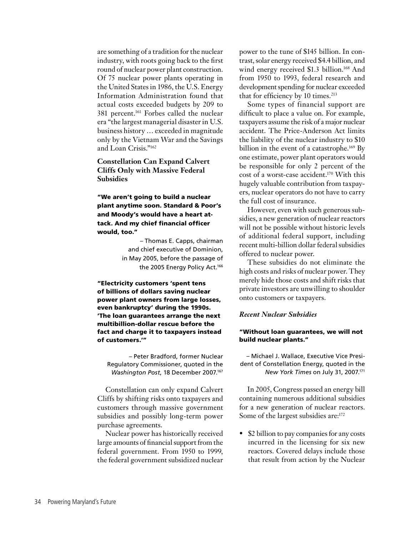are something of a tradition for the nuclear industry, with roots going back to the first round of nuclear power plant construction. Of 75 nuclear power plants operating in the United States in 1986, the U.S. Energy Information Administration found that actual costs exceeded budgets by 209 to 381 percent.<sup>161</sup> Forbes called the nuclear era "the largest managerial disaster in U.S. business history … exceeded in magnitude only by the Vietnam War and the Savings and Loan Crisis."162

**Constellation Can Expand Calvert Cliffs Only with Massive Federal Subsidies**

"We aren't going to build a nuclear plant anytime soon. Standard & Poor's and Moody's would have a heart attack. And my chief financial officer would, too."

> – Thomas E. Capps, chairman and chief executive of Dominion, in May 2005, before the passage of the 2005 Energy Policy Act.<sup>166</sup>

"Electricity customers 'spent tens of billions of dollars saving nuclear power plant owners from large losses, even bankruptcy' during the 1990s. 'The loan guarantees arrange the next multibillion-dollar rescue before the fact and charge it to taxpayers instead of customers.'"

– Peter Bradford, former Nuclear Regulatory Commissioner, quoted in the *Washington Post*, 18 December 2007.167

Constellation can only expand Calvert Cliffs by shifting risks onto taxpayers and customers through massive government subsidies and possibly long-term power purchase agreements.

Nuclear power has historically received large amounts of financial support from the federal government. From 1950 to 1999, the federal government subsidized nuclear

power to the tune of \$145 billion. In contrast, solar energy received \$4.4 billion, and wind energy received \$1.3 billion.<sup>168</sup> And from 1950 to 1993, federal research and development spending for nuclear exceeded that for efficiency by 10 times.<sup>213</sup>

Some types of financial support are difficult to place a value on. For example, taxpayers assume the risk of a major nuclear accident. The Price-Anderson Act limits the liability of the nuclear industry to \$10 billion in the event of a catastrophe.<sup>169</sup> By one estimate, power plant operators would be responsible for only 2 percent of the cost of a worst-case accident.170 With this hugely valuable contribution from taxpayers, nuclear operators do not have to carry the full cost of insurance.

However, even with such generous subsidies, a new generation of nuclear reactors will not be possible without historic levels of additional federal support, including recent multi-billion dollar federal subsidies offered to nuclear power.

These subsidies do not eliminate the high costs and risks of nuclear power. They merely hide those costs and shift risks that private investors are unwilling to shoulder onto customers or taxpayers.

#### *Recent Nuclear Subsidies*

#### "Without loan guarantees, we will not build nuclear plants."

– Michael J. Wallace, Executive Vice President of Constellation Energy, quoted in the *New York Times* on July 31, 2007.171

In 2005, Congress passed an energy bill containing numerous additional subsidies for a new generation of nuclear reactors. Some of the largest subsidies are:<sup>172</sup>

• \$2 billion to pay companies for any costs incurred in the licensing for six new reactors. Covered delays include those that result from action by the Nuclear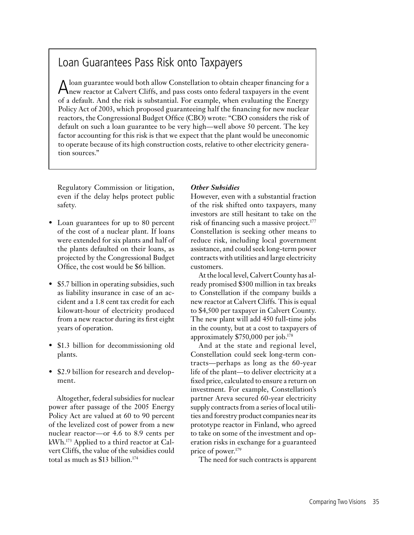### Loan Guarantees Pass Risk onto Taxpayers

Aloan guarantee would both allow Constellation to obtain cheaper financing for a new reactor at Calvert Cliffs, and pass costs onto federal taxpayers in the event of a default. And the risk is substantial. For example, when evaluating the Energy Policy Act of 2003, which proposed guaranteeing half the financing for new nuclear reactors, the Congressional Budget Office (CBO) wrote: "CBO considers the risk of default on such a loan guarantee to be very high—well above 50 percent. The key factor accounting for this risk is that we expect that the plant would be uneconomic to operate because of its high construction costs, relative to other electricity generation sources."

Regulatory Commission or litigation, even if the delay helps protect public safety.

- Loan guarantees for up to 80 percent of the cost of a nuclear plant. If loans were extended for six plants and half of the plants defaulted on their loans, as projected by the Congressional Budget Office, the cost would be \$6 billion.
- \$5.7 billion in operating subsidies, such as liability insurance in case of an accident and a 1.8 cent tax credit for each kilowatt-hour of electricity produced from a new reactor during its first eight years of operation.
- \$1.3 billion for decommissioning old plants.
- \$2.9 billion for research and development.

Altogether, federal subsidies for nuclear power after passage of the 2005 Energy Policy Act are valued at 60 to 90 percent of the levelized cost of power from a new nuclear reactor—or 4.6 to 8.9 cents per kWh.173 Applied to a third reactor at Calvert Cliffs, the value of the subsidies could total as much as \$13 billion.174

### *Other Subsidies*

However, even with a substantial fraction of the risk shifted onto taxpayers, many investors are still hesitant to take on the risk of financing such a massive project.<sup>177</sup> Constellation is seeking other means to reduce risk, including local government assistance, and could seek long-term power contracts with utilities and large electricity customers.

At the local level, Calvert County has already promised \$300 million in tax breaks to Constellation if the company builds a new reactor at Calvert Cliffs. This is equal to \$4,500 per taxpayer in Calvert County. The new plant will add 450 full-time jobs in the county, but at a cost to taxpayers of approximately \$750,000 per job.178

And at the state and regional level, Constellation could seek long-term contracts—perhaps as long as the 60-year life of the plant—to deliver electricity at a fixed price, calculated to ensure a return on investment. For example, Constellation's partner Areva secured 60-year electricity supply contracts from a series of local utilities and forestry product companies near its prototype reactor in Finland, who agreed to take on some of the investment and operation risks in exchange for a guaranteed price of power.179

The need for such contracts is apparent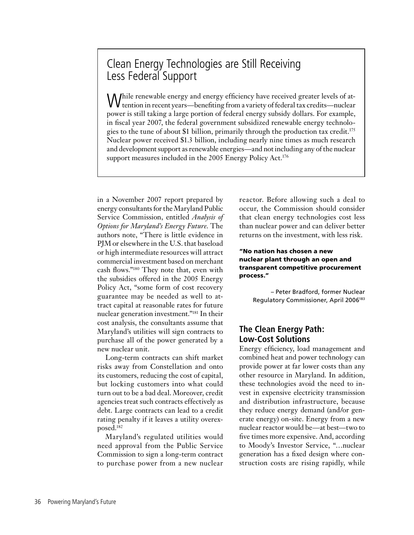### Clean Energy Technologies are Still Receiving Less Federal Support

While renewable energy and energy efficiency have received greater levels of at-tention in recent years—benefiting from a variety of federal tax credits—nuclear power is still taking a large portion of federal energy subsidy dollars. For example, in fiscal year 2007, the federal government subsidized renewable energy technologies to the tune of about \$1 billion, primarily through the production tax credit.175 Nuclear power received \$1.3 billion, including nearly nine times as much research and development support as renewable energies—and not including any of the nuclear support measures included in the 2005 Energy Policy Act.<sup>176</sup>

in a November 2007 report prepared by energy consultants for the Maryland Public Service Commission, entitled *Analysis of Options for Maryland's Energy Future*. The authors note, "There is little evidence in PJM or elsewhere in the U.S. that baseload or high intermediate resources will attract commercial investment based on merchant cash flows."180 They note that, even with the subsidies offered in the 2005 Energy Policy Act, "some form of cost recovery guarantee may be needed as well to attract capital at reasonable rates for future nuclear generation investment."181 In their cost analysis, the consultants assume that Maryland's utilities will sign contracts to purchase all of the power generated by a new nuclear unit.

Long-term contracts can shift market risks away from Constellation and onto its customers, reducing the cost of capital, but locking customers into what could turn out to be a bad deal. Moreover, credit agencies treat such contracts effectively as debt. Large contracts can lead to a credit rating penalty if it leaves a utility overexposed.182

Maryland's regulated utilities would need approval from the Public Service Commission to sign a long-term contract to purchase power from a new nuclear

reactor. Before allowing such a deal to occur, the Commission should consider that clean energy technologies cost less than nuclear power and can deliver better returns on the investment, with less risk.

#### "No nation has chosen a new nuclear plant through an open and transparent competitive procurement process."

– Peter Bradford, former Nuclear Regulatory Commissioner, April 2006183

### **The Clean Energy Path: Low-Cost Solutions**

Energy efficiency, load management and combined heat and power technology can provide power at far lower costs than any other resource in Maryland. In addition, these technologies avoid the need to invest in expensive electricity transmission and distribution infrastructure, because they reduce energy demand (and/or generate energy) on-site. Energy from a new nuclear reactor would be—at best—two to five times more expensive. And, according to Moody's Investor Service, "…nuclear generation has a fixed design where construction costs are rising rapidly, while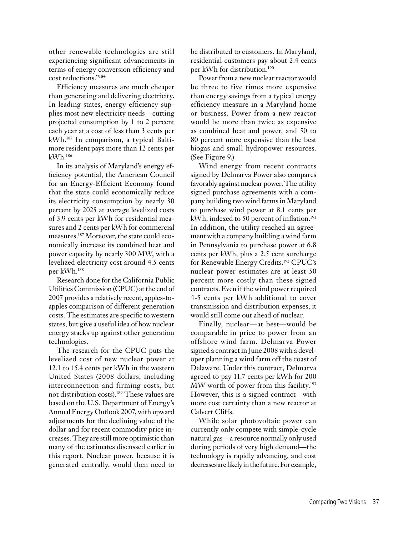other renewable technologies are still experiencing significant advancements in terms of energy conversion efficiency and cost reductions."184

Efficiency measures are much cheaper than generating and delivering electricity. In leading states, energy efficiency supplies most new electricity needs—cutting projected consumption by 1 to 2 percent each year at a cost of less than 3 cents per kWh.185 In comparison, a typical Baltimore resident pays more than 12 cents per kWh.186

In its analysis of Maryland's energy efficiency potential, the American Council for an Energy-Efficient Economy found that the state could economically reduce its electricity consumption by nearly 30 percent by 2025 at average levelized costs of 3.9 cents per kWh for residential measures and 2 cents per kWh for commercial measures.187 Moreover, the state could economically increase its combined heat and power capacity by nearly 300 MW, with a levelized electricity cost around 4.5 cents per kWh.188

Research done for the California Public Utilities Commission (CPUC) at the end of 2007 provides a relatively recent, apples-toapples comparison of different generation costs. The estimates are specific to western states, but give a useful idea of how nuclear energy stacks up against other generation technologies.

The research for the CPUC puts the levelized cost of new nuclear power at 12.1 to 15.4 cents per kWh in the western United States (2008 dollars, including interconnection and firming costs, but not distribution costs).189 These values are based on the U.S. Department of Energy's Annual Energy Outlook 2007, with upward adjustments for the declining value of the dollar and for recent commodity price increases. They are still more optimistic than many of the estimates discussed earlier in this report. Nuclear power, because it is generated centrally, would then need to

be distributed to customers. In Maryland, residential customers pay about 2.4 cents per kWh for distribution.190

Power from a new nuclear reactor would be three to five times more expensive than energy savings from a typical energy efficiency measure in a Maryland home or business. Power from a new reactor would be more than twice as expensive as combined heat and power, and 50 to 80 percent more expensive than the best biogas and small hydropower resources. (See Figure 9.)

Wind energy from recent contracts signed by Delmarva Power also compares favorably against nuclear power. The utility signed purchase agreements with a company building two wind farms in Maryland to purchase wind power at 8.1 cents per kWh, indexed to 50 percent of inflation.<sup>191</sup> In addition, the utility reached an agreement with a company building a wind farm in Pennsylvania to purchase power at 6.8 cents per kWh, plus a 2.5 cent surcharge for Renewable Energy Credits.192 CPUC's nuclear power estimates are at least 50 percent more costly than these signed contracts. Even if the wind power required 4-5 cents per kWh additional to cover transmission and distribution expenses, it would still come out ahead of nuclear.

Finally, nuclear—at best—would be comparable in price to power from an offshore wind farm. Delmarva Power signed a contract in June 2008 with a developer planning a wind farm off the coast of Delaware. Under this contract, Delmarva agreed to pay 11.7 cents per kWh for 200 MW worth of power from this facility.<sup>193</sup> However, this is a signed contract—with more cost certainty than a new reactor at Calvert Cliffs.

While solar photovoltaic power can currently only compete with simple-cycle natural gas—a resource normally only used during periods of very high demand—the technology is rapidly advancing, and cost decreases are likely in the future. For example,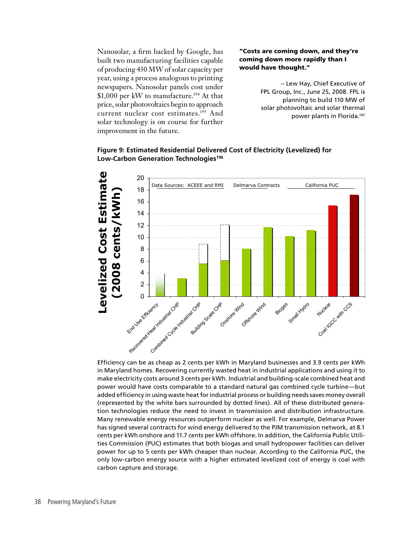Nanosolar, a firm backed by Google, has built two manufacturing facilities capable of producing 430 MW of solar capacity per year, using a process analogous to printing newspapers. Nanosolar panels cost under \$1,000 per kW to manufacture.<sup>194</sup> At that price, solar photovoltaics begin to approach current nuclear cost estimates.195 And solar technology is on course for further improvement in the future.

#### "Costs are coming down, and they're coming down more rapidly than I would have thought."

– Lew Hay, Chief Executive of FPL Group, Inc., June 25, 2008. FPL is planning to build 110 MW of solar photovoltaic and solar thermal power plants in Florida.197



### **Figure 9: Estimated Residential Delivered Cost of Electricity (Levelized) for Low-Carbon Generation Technologies196**

Efficiency can be as cheap as 2 cents per kWh in Maryland businesses and 3.9 cents per kWh in Maryland homes. Recovering currently wasted heat in industrial applications and using it to make electricity costs around 3 cents per kWh. Industrial and building-scale combined heat and power would have costs comparable to a standard natural gas combined cycle turbine—but added efficiency in using waste heat for industrial process or building needs saves money overall (represented by the white bars surrounded by dotted lines). All of these distributed generation technologies reduce the need to invest in transmission and distribution infrastructure. Many renewable energy resources outperform nuclear as well. For example, Delmarva Power has signed several contracts for wind energy delivered to the PJM transmission network, at 8.1 cents per kWh onshore and 11.7 cents per kWh offshore. In addition, the California Public Utilities Commission (PUC) estimates that both biogas and small hydropower facilities can deliver power for up to 5 cents per kWh cheaper than nuclear. According to the California PUC, the only low-carbon energy source with a higher estimated levelized cost of energy is coal with carbon capture and storage.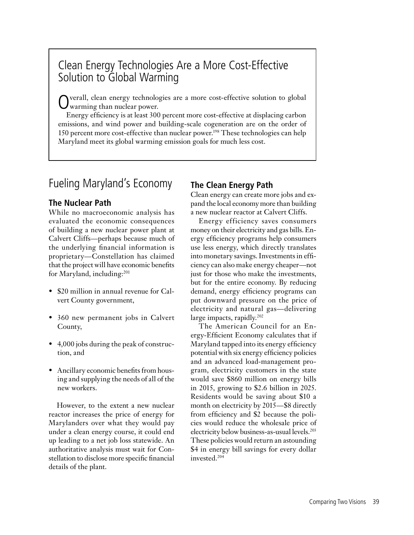### Clean Energy Technologies Are a More Cost-Effective Solution to Global Warming

verall, clean energy technologies are a more cost-effective solution to global warming than nuclear power.

Energy efficiency is at least 300 percent more cost-effective at displacing carbon emissions, and wind power and building-scale cogeneration are on the order of 150 percent more cost-effective than nuclear power.198 These technologies can help Maryland meet its global warming emission goals for much less cost.

### Fueling Maryland's Economy

### **The Nuclear Path**

While no macroeconomic analysis has evaluated the economic consequences of building a new nuclear power plant at Calvert Cliffs—perhaps because much of the underlying financial information is proprietary—Constellation has claimed that the project will have economic benefits for Maryland, including:201

- \$20 million in annual revenue for Calvert County government,
- 360 new permanent jobs in Calvert County,
- 4,000 jobs during the peak of construction, and
- Ancillary economic benefits from housing and supplying the needs of all of the new workers.

However, to the extent a new nuclear reactor increases the price of energy for Marylanders over what they would pay under a clean energy course, it could end up leading to a net job loss statewide. An authoritative analysis must wait for Constellation to disclose more specific financial details of the plant.

### **The Clean Energy Path**

Clean energy can create more jobs and expand the local economy more than building a new nuclear reactor at Calvert Cliffs.

Energy efficiency saves consumers money on their electricity and gas bills. Energy efficiency programs help consumers use less energy, which directly translates into monetary savings. Investments in efficiency can also make energy cheaper—not just for those who make the investments, but for the entire economy. By reducing demand, energy efficiency programs can put downward pressure on the price of electricity and natural gas—delivering large impacts, rapidly.<sup>202</sup>

The American Council for an Energy-Efficient Economy calculates that if Maryland tapped into its energy efficiency potential with six energy efficiency policies and an advanced load-management program, electricity customers in the state would save \$860 million on energy bills in 2015, growing to \$2.6 billion in 2025. Residents would be saving about \$10 a month on electricity by 2015—\$8 directly from efficiency and \$2 because the policies would reduce the wholesale price of electricity below business-as-usual levels.203 These policies would return an astounding \$4 in energy bill savings for every dollar invested.204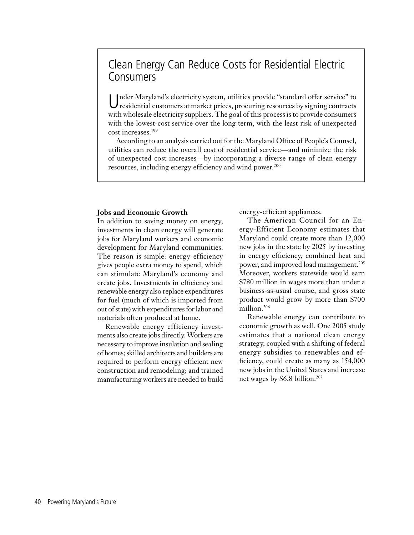### Clean Energy Can Reduce Costs for Residential Electric Consumers

Under Maryland's electricity system, utilities provide "standard offer service" to residential customers at market prices, procuring resources by signing contracts with wholesale electricity suppliers. The goal of this process is to provide consumers with the lowest-cost service over the long term, with the least risk of unexpected cost increases.199

According to an analysis carried out for the Maryland Office of People's Counsel, utilities can reduce the overall cost of residential service—and minimize the risk of unexpected cost increases—by incorporating a diverse range of clean energy resources, including energy efficiency and wind power.<sup>200</sup>

#### **Jobs and Economic Growth**

In addition to saving money on energy, investments in clean energy will generate jobs for Maryland workers and economic development for Maryland communities. The reason is simple: energy efficiency gives people extra money to spend, which can stimulate Maryland's economy and create jobs. Investments in efficiency and renewable energy also replace expenditures for fuel (much of which is imported from out of state) with expenditures for labor and materials often produced at home.

Renewable energy efficiency investments also create jobs directly. Workers are necessary to improve insulation and sealing of homes; skilled architects and builders are required to perform energy efficient new construction and remodeling; and trained manufacturing workers are needed to build

energy-efficient appliances.

The American Council for an Energy-Efficient Economy estimates that Maryland could create more than 12,000 new jobs in the state by 2025 by investing in energy efficiency, combined heat and power, and improved load management.<sup>205</sup> Moreover, workers statewide would earn \$780 million in wages more than under a business-as-usual course, and gross state product would grow by more than \$700 million.<sup>206</sup>

Renewable energy can contribute to economic growth as well. One 2005 study estimates that a national clean energy strategy, coupled with a shifting of federal energy subsidies to renewables and efficiency, could create as many as 154,000 new jobs in the United States and increase net wages by \$6.8 billion.207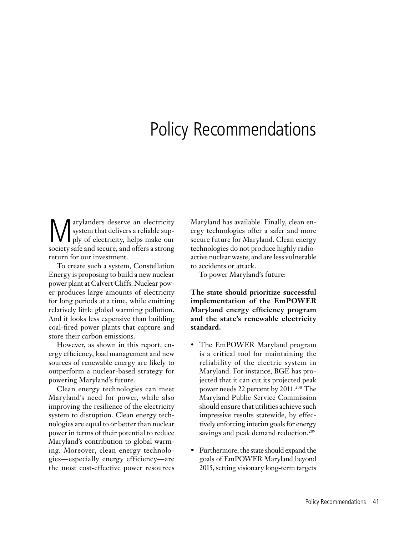# Policy Recommendations

**Marylanders deserve an electricity**<br>system that delivers a reliable sup-<br>ply of electricity, helps make our system that delivers a reliable supply of electricity, helps make our society safe and secure, and offers a strong return for our investment.

To create such a system, Constellation Energy is proposing to build a new nuclear power plant at Calvert Cliffs. Nuclear power produces large amounts of electricity for long periods at a time, while emitting relatively little global warming pollution. And it looks less expensive than building coal-fired power plants that capture and store their carbon emissions.

However, as shown in this report, energy efficiency, load management and new sources of renewable energy are likely to outperform a nuclear-based strategy for powering Maryland's future.

Clean energy technologies can meet Maryland's need for power, while also improving the resilience of the electricity system to disruption. Clean energy technologies are equal to or better than nuclear power in terms of their potential to reduce Maryland's contribution to global warming. Moreover, clean energy technologies—especially energy efficiency—are the most cost-effective power resources Maryland has available. Finally, clean energy technologies offer a safer and more secure future for Maryland. Clean energy technologies do not produce highly radioactive nuclear waste, and are less vulnerable to accidents or attack.

To power Maryland's future:

**The state should prioritize successful implementation of the EmPOWER Maryland energy efficiency program and the state's renewable electricity standard.**

- The EmPOWER Maryland program is a critical tool for maintaining the reliability of the electric system in Maryland. For instance, BGE has projected that it can cut its projected peak power needs 22 percent by 2011.<sup>208</sup> The Maryland Public Service Commission should ensure that utilities achieve such impressive results statewide, by effectively enforcing interim goals for energy savings and peak demand reduction.<sup>209</sup>
- Furthermore, the state should expand the goals of EmPOWER Maryland beyond 2015, setting visionary long-term targets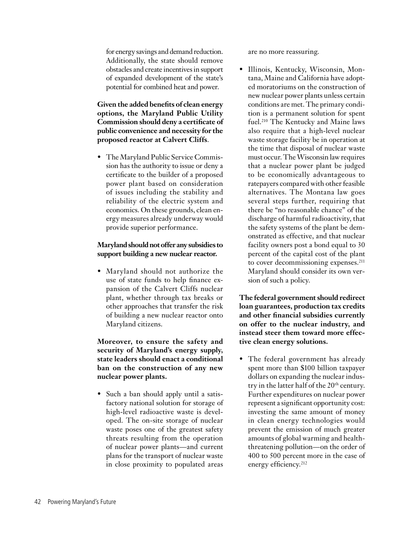for energy savings and demand reduction. Additionally, the state should remove obstacles and create incentives in support of expanded development of the state's potential for combined heat and power.

### **Given the added benefits of clean energy options, the Maryland Public Utility Commission should deny a certificate of public convenience and necessity for the proposed reactor at Calvert Cliffs**.

• The Maryland Public Service Commission has the authority to issue or deny a certificate to the builder of a proposed power plant based on consideration of issues including the stability and reliability of the electric system and economics. On these grounds, clean energy measures already underway would provide superior performance.

### **Maryland should not offer any subsidies to support building a new nuclear reactor.**

• Maryland should not authorize the use of state funds to help finance expansion of the Calvert Cliffs nuclear plant, whether through tax breaks or other approaches that transfer the risk of building a new nuclear reactor onto Maryland citizens.

**Moreover, to ensure the safety and security of Maryland's energy supply, state leaders should enact a conditional ban on the construction of any new nuclear power plants.**

• Such a ban should apply until a satisfactory national solution for storage of high-level radioactive waste is developed. The on-site storage of nuclear waste poses one of the greatest safety threats resulting from the operation of nuclear power plants—and current plans for the transport of nuclear waste in close proximity to populated areas

are no more reassuring.

• Illinois, Kentucky, Wisconsin, Montana, Maine and California have adopted moratoriums on the construction of new nuclear power plants unless certain conditions are met. The primary condition is a permanent solution for spent fuel.210 The Kentucky and Maine laws also require that a high-level nuclear waste storage facility be in operation at the time that disposal of nuclear waste must occur. The Wisconsin law requires that a nuclear power plant be judged to be economically advantageous to ratepayers compared with other feasible alternatives. The Montana law goes several steps further, requiring that there be "no reasonable chance" of the discharge of harmful radioactivity, that the safety systems of the plant be demonstrated as effective, and that nuclear facility owners post a bond equal to 30 percent of the capital cost of the plant to cover decommissioning expenses.<sup>211</sup> Maryland should consider its own version of such a policy.

**The federal government should redirect loan guarantees, production tax credits and other financial subsidies currently on offer to the nuclear industry, and instead steer them toward more effective clean energy solutions.**

• The federal government has already spent more than \$100 billion taxpayer dollars on expanding the nuclear industry in the latter half of the 20<sup>th</sup> century. Further expenditures on nuclear power represent a significant opportunity cost: investing the same amount of money in clean energy technologies would prevent the emission of much greater amounts of global warming and healththreatening pollution—on the order of 400 to 500 percent more in the case of energy efficiency.<sup>212</sup>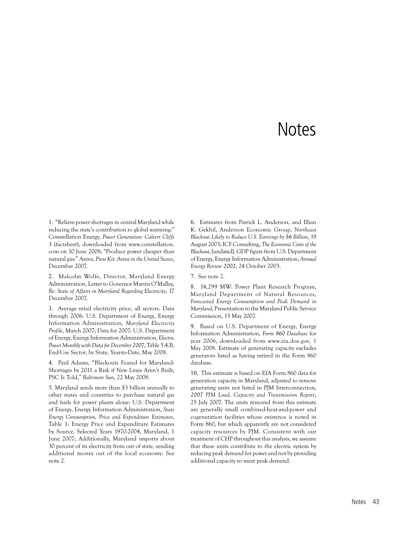## **Notes**

1. "Relieve power shortages in central Maryland while reducing the state's contribution to global warming:" Constellation Energy, *Power Generation: Calvert Cliffs 3* (factsheet), downloaded from www.constellation. com on 10 June 2008; "Produce power cheaper than natural gas:" Areva, *Press Kit: Areva in the United States*, December 2007.

2. Malcolm Wolfe, Director, Maryland Energy Administration, Letter to Governor Martin O'Malley, *Re: State of Affairs in Maryland Regarding Electricity*, 17 December 2007.

3. Average retail electricity price, all sectors. Data through 2006: U.S. Department of Energy, Energy Information Administration, *Maryland Electricity Profile*, March 2007; Data for 2007: U.S. Department of Energy, Energy Information Administration, *Electric Power Monthly with Data for December 2007*, Table 5.4.B, End-Use Sector, by State, Year-to-Date, May 2008.

4. Paul Adams, "Blackouts Feared for Maryland: Shortages by 2011 a Risk if New Lines Aren't Built, PSC Is Told," *Baltimore Sun*, 22 May 2008.

5. Maryland sends more than \$3 billion annually to other states and countries to purchase natural gas and fuels for power plants alone: U.S. Department of Energy, Energy Information Administration, *State Energy Consumption, Price and Expenditure Estimates*, Table 1: Energy Price and Expenditure Estimates by Source, Selected Years 1970-2004, Maryland, 1 June 2007; Additionally, Maryland imports about 30 percent of its electricity from out of state, sending additional money out of the local economy: See note 2.

6. Estimates from Patrick L. Anderson, and Ilhan K. Gekhil, Anderson Economic Group, *Northeast Blackout Likely to Reduce U.S. Earnings by \$6 Billion*, 19 August 2003; ICF Consulting, *The Economic Costs of the Blackout*, [undated]. GDP figure from U.S. Department of Energy, Energy Information Administration, *Annual Energy Review 2002*, 24 October 2003.

7. See note 2.

8. 14,299 MW: Power Plant Research Program, Maryland Department of Natural Resources, *Forecasted Energy Consumption and Peak Demand in Maryland*, Presentation to the Maryland Public Service Commission, 15 May 2007.

9. Based on U.S. Department of Energy, Energy Information Administration, *Form 860 Database* for year 2006, downloaded from www.eia.doe.gov, 1 May 2008. Estimate of generating capacity excludes generators listed as having retired in the Form 860 database.

10. This estimate is based on EIA Form 860 data for generation capacity in Maryland, adjusted to remove generating units not listed in PJM Interconnection, *2007 PJM Load, Capacity and Transmission Report*, 25 July 2007. The units removed from this estimate are generally small combined-heat-and-power and cogeneration facilities whose existence is noted in Form 860, but which apparently are not considered capacity resources by PJM. Consistent with our treatment of CHP throughout this analysis, we assume that these units contribute to the electric system by reducing peak demand for power and not by providing additional capacity to meet peak demand.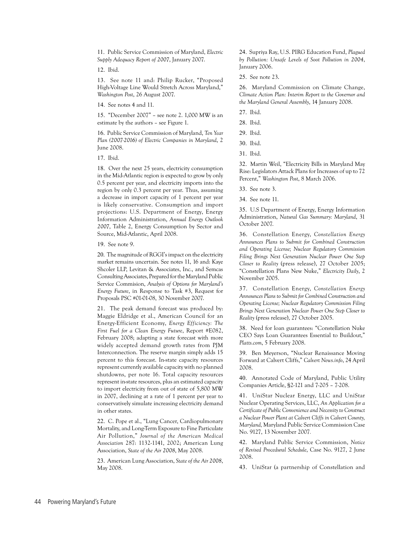11. Public Service Commission of Maryland, *Electric Supply Adequacy Report of 2007*, January 2007.

12. Ibid.

13. See note 11 and: Philip Rucker, "Proposed High-Voltage Line Would Stretch Across Maryland," *Washington Post*, 26 August 2007.

14. See notes 4 and 11.

15. "December 2007" – see note 2. 1,000 MW is an estimate by the authors – see Figure 1.

16. Public Service Commission of Maryland, *Ten Year Plan (2007-2016) of Electric Companies in Maryland*, 2 June 2008.

17. Ibid.

18. Over the next 25 years, electricity consumption in the Mid-Atlantic region is expected to grow by only 0.5 percent per year, and electricity imports into the region by only 0.3 percent per year. Thus, assuming a decrease in import capacity of 1 percent per year is likely conservative. Consumption and import projections: U.S. Department of Energy, Energy Information Administration, *Annual Energy Outlook 2007*, Table 2, Energy Consumption by Sector and Source, Mid-Atlantic, April 2008.

19. See note 9.

20. The magnitude of RGGI's impact on the electricity market remains uncertain. See notes 11, 16 and: Kaye Shcoler LLP, Levitan & Associates, Inc., and Semcas Consulting Associates, Prepared for the Maryland Public Service Commision, *Analysis of Options for Maryland's Energy Future*, in Response to Task #3, Request for Proposals PSC #01-01-08, 30 November 2007.

21. The peak demand forecast was produced by: Maggie Eldridge et al., American Council for an Energy-Efficient Economy, *Energy Efficiency: The First Fuel for a Clean Energy Future*, Report #E082, February 2008; adapting a state forecast with more widely accepted demand growth rates from PJM Interconnection. The reserve margin simply adds 15 percent to this forecast. In-state capacity resources represent currently available capacity with no planned shutdowns, per note 16. Total capacity resources represent in-state resources, plus an estimated capacity to import electricity from out of state of 5,800 MW in 2007, declining at a rate of 1 percent per year to conservatively simulate increasing electricity demand in other states.

22. C. Pope et al., "Lung Cancer, Cardiopulmonary Mortality, and Long-Term Exposure to Fine Particulate Air Pollution," *Journal of the American Medical Association* 287: 1132-1141, 2002; American Lung Association, *State of the Air 2008*, May 2008.

23. American Lung Association, *State of the Air 2008*, May 2008.

24. Supriya Ray, U.S. PIRG Education Fund, *Plagued by Pollution: Unsafe Levels of Soot Pollution in 2004*, January 2006.

25. See note 23.

26. Maryland Commission on Climate Change, *Climate Action Plan: Interim Report to the Governor and the Maryland General Assembly*, 14 January 2008.

27. Ibid.

28. Ibid.

29. Ibid.

30. Ibid.

31. Ibid.

32. Martin Weil, "Electricity Bills in Maryland May Rise: Legislators Attack Plans for Increases of up to 72 Percent," *Washington Post*, 8 March 2006.

33. See note 3.

34. See note 11.

35. U.S Department of Energy, Energy Information Administration, *Natural Gas Summary: Maryland*, 31 October 2007.

36. Constellation Energy, *Constellation Energy Announces Plans to Submit for Combined Construction and Operating License; Nuclear Regulatory Commission Filing Brings Next Generation Nuclear Power One Step Closer to Reality* (press release), 27 October 2005; "Constellation Plans New Nuke," *Electricity Daily*, 2 November 2005.

37. Constellation Energy, *Constellation Energy Announces Plans to Submit for Combined Construction and Operating License; Nuclear Regulatory Commission Filing Brings Next Generation Nuclear Power One Step Closer to Reality* (press release), 27 October 2005.

38. Need for loan guarantees: "Constellation Nuke CEO Says Loan Guarantees Essential to Buildout," *Platts.com*, 5 February 2008.

39. Ben Meyerson, "Nuclear Renaissance Moving Forward at Calvert Cliffs," *Calvert News.info*, 24 April 2008.

40. Annotated Code of Maryland, Public Utility Companies Article, §2-121 and 7-205 – 7-208.

41. UniStar Nuclear Energy, LLC and UniStar Nuclear Operating Services, LLC, *An Application for a Certificate of Public Convenience and Necessity to Construct a Nuclear Power Plant at Calvert Cliffs in Calvert County, Maryland,* Maryland Public Service Commission Case No. 9127, 13 November 2007*.*

42. Maryland Public Service Commission, *Notice of Revised Procedural Schedule*, Case No. 9127, 2 June 2008.

43. UniStar (a partnership of Constellation and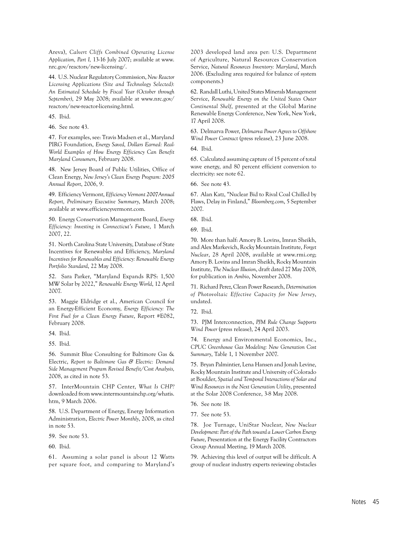Areva), *Calvert Cliffs Combined Operating License Application, Part I,* 13-16 July 2007; available at www. nrc.gov/reactors/new-licensing/.

44. U.S. Nuclear Regulatory Commission, *New Reactor Licensing Applications (Site and Technology Selected): An Estimated Schedule by Fiscal Year (October through September)*, 29 May 2008; available at www.nrc.gov/ reactors/new-reactor-licensing.html.

45. Ibid.

46. See note 43.

47. For examples, see: Travis Madsen et al., Maryland PIRG Foundation, *Energy Saved, Dollars Earned: Real-World Examples of How Energy Efficiency Can Benefit Maryland Consumers*, February 2008.

48. New Jersey Board of Public Utilities, Office of Clean Energy, *New Jersey's Clean Energy Program: 2005 Annual Report*, 2006, 9.

49. Efficiency Vermont, *Efficiency Vermont 2007Annual Report, Preliminary Executive Summary*, March 2008; available at www.efficiencyvermont.com.

50. Energy Conservation Management Board, *Energy Efficiency: Investing in Connecticut's Future*, 1 March 2007, 22.

51. North Carolina State University, Database of State Incentives for Renewables and Efficiency, *Maryland Incentives for Renewables and Efficiency: Renewable Energy Portfolio Standard*, 22 May 2008.

52. Sara Parker, "Maryland Expands RPS: 1,500 MW Solar by 2022," *Renewable Energy World*, 12 April 2007.

53. Maggie Eldridge et al., American Council for an Energy-Efficient Economy, *Energy Efficiency: The First Fuel for a Clean Energy Future*, Report #E082, February 2008.

54. Ibid.

55. Ibid.

56. Summit Blue Consulting for Baltimore Gas & Electric, *Report to Baltimore Gas & Electric: Demand Side Management Program Revised Benefit/Cost Analysis,*  2008, as cited in note 53.

57. InterMountain CHP Center, *What Is CHP?* downloaded from www.intermountainchp.org/whatis. htm, 9 March 2006.

58. U.S. Department of Energy, Energy Information Administration, *Electric Power Monthly*, 2008, as cited in note 53.

59. See note 53.

60. Ibid.

61. Assuming a solar panel is about 12 Watts per square foot, and comparing to Maryland's 2003 developed land area per: U.S. Department of Agriculture, Natural Resources Conservation Service, *Natural Resources Inventory: Maryland*, March 2006. (Excluding area required for balance of system components.)

62. Randall Luthi, United States Minerals Management Service, *Renewable Energy on the United States Outer Continental Shelf*, presented at the Global Marine Renewable Energy Conference, New York, New York, 17 April 2008.

63. Delmarva Power, *Delmarva Power Agrees to Offshore Wind Power Contract* (press release), 23 June 2008.

64. Ibid.

65. Calculated assuming capture of 15 percent of total wave energy, and 80 percent efficient conversion to electricity: see note 62.

66. See note 43.

67. Alan Katz, "Nuclear Bid to Rival Coal Chilled by Flaws, Delay in Finland," *Bloomberg.com*, 5 September 2007.

68. Ibid.

69. Ibid.

70. More than half: Amory B. Lovins, Imran Sheikh, and Alex Markevich, Rocky Mountain Institute, *Forget Nuclear*, 28 April 2008, available at www.rmi.org; Amory B. Lovins and Imran Sheikh, Rocky Mountain Institute, *The Nuclear Illusion*, draft dated 27 May 2008, for publication in *Ambio*, November 2008.

71. Richard Perez, Clean Power Research, *Determination of Photovoltaic Effective Capacity for New Jersey*, undated.

72. Ibid.

73. PJM Interconnection, *PJM Rule Change Supports Wind Power* (press release), 24 April 2003.

74. Energy and Environmental Economics, Inc., *CPUC Greenhouse Gas Modeling: New Generation Cost Summary*, Table 1, 1 November 2007.

75. Bryan Palmintier, Lena Hansen and Jonah Levine, Rocky Mountain Institute and University of Colorado at Boulder, *Spatial and Temporal Interactions of Solar and Wind Resources in the Next Generation Utility*, presented at the Solar 2008 Conference, 3-8 May 2008.

76. See note 18.

77. See note 53.

78. Joe Turnage, UniStar Nuclear, *New Nuclear Development: Part of the Path toward a Lower Carbon Energy Future*, Presentation at the Energy Facility Contractors Group Annual Meeting, 19 March 2008.

79. Achieving this level of output will be difficult. A group of nuclear industry experts reviewing obstacles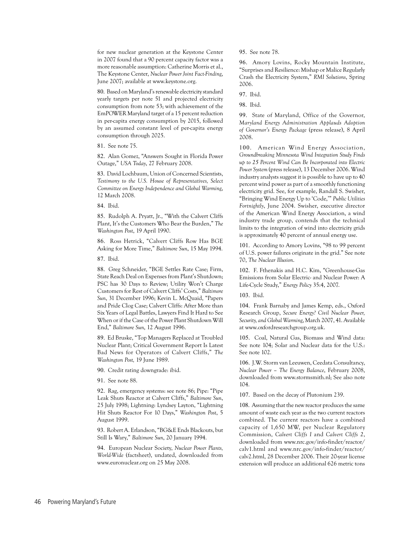for new nuclear generation at the Keystone Center in 2007 found that a 90 percent capacity factor was a more reasonable assumption: Catherine Morris et al., The Keystone Center, *Nuclear Power Joint Fact-Finding*, June 2007; available at www.keystone.org.

80. Based on Maryland's renewable electricity standard yearly targets per note 51 and projected electricity consumption from note 53; with achievement of the EmPOWER Maryland target of a 15 percent reduction in per-capita energy consumption by 2015, followed by an assumed constant level of per-capita energy consumption through 2025.

81. See note 75.

82. Alan Gomez, "Answers Sought in Florida Power Outage," *USA Today*, 27 February 2008.

83. David Lochbaum, Union of Concerned Scientists, *Testimony to the U.S. House of Representatives, Select Committee on Energy Independence and Global Warming*, 12 March 2008.

84. Ibid.

85. Rudolph A. Pryatt, Jr., "With the Calvert Cliffs Plant, It's the Customers Who Bear the Burden," *The Washington Post*, 19 April 1990.

86. Ross Hetrick, "Calvert Cliffs Row Has BGE Asking for More Time," *Baltimore Sun*, 15 May 1994.

87. Ibid.

88. Greg Schneider, "BGE Settles Rate Case; Firm, State Reach Deal on Expenses from Plant's Shutdown; PSC has 30 Days to Review: Utility Won't Charge Customers for Rest of Calvert Cliffs' Costs," *Baltimore Sun*, 31 December 1996; Kevin L. McQuaid, "Papers and Pride Clog Case; Calvert Cliffs: After More than Six Years of Legal Battles, Lawyers Find It Hard to See When or if the Case of the Power Plant Shutdown Will End," *Baltimore Sun*, 12 August 1996.

89. Ed Bruske, "Top Managers Replaced at Troubled Nuclear Plant; Critical Government Report Is Latest Bad News for Operators of Calvert Cliffs," *The Washington Post,* 19 June 1989.

90. Credit rating downgrade: ibid.

91. See note 88.

92. Rag, emergency systems: see note 86; Pipe: "Pipe Leak Shuts Reactor at Calvert Cliffs," *Baltimore Sun*, 25 July 1998; Lightning: Lyndsey Layton, "Lightning Hit Shuts Reactor For 10 Days," *Washington Post*, 5 August 1999.

93. Robert A. Erlandson, "BG&E Ends Blackouts, but Still Is Wary," *Baltimore Sun*, 20 January 1994.

94. European Nuclear Society, *Nuclear Power Plants, World-Wide* (factsheet), undated, downloaded from www.euronuclear.org on 25 May 2008.

95. See note 78.

96. Amory Lovins, Rocky Mountain Institute, "Surprises and Resilience: Mishap or Malice Regularly Crash the Electricity System," *RMI Solutions*, Spring 2006.

97. Ibid.

98. Ibid.

99. State of Maryland, Office of the Governor, *Maryland Energy Administration Applauds Adoption of Governor's Energy Package* (press release), 8 April 2008.

100. American Wind Energy Association, *Groundbreaking Minnesota Wind Integration Study Finds up to 25 Percent Wind Can Be Incorporated into Electric Power System* (press release), 13 December 2006. Wind industry analysts suggest it is possible to have up to 40 percent wind power as part of a smoothly functioning electricity grid. See, for example, Randall S. Swisher, "Bringing Wind Energy Up to 'Code,'" *Public Utilities Fortnightly*, June 2004. Swisher, executive director of the American Wind Energy Association, a wind industry trade group, contends that the technical limits to the integration of wind into electricity grids is approximately 40 percent of annual energy use.

101. According to Amory Lovins, "98 to 99 percent of U.S. power failures originate in the grid." See note 70, *The Nuclear Illusion*.

102. F. Fthenakis and H.C. Kim, "Greenhouse-Gas Emissions from Solar Electric- and Nuclear Power: A Life-Cycle Study," *Energy Policy* 35:4, 2007.

103. Ibid.

104. Frank Barnaby and James Kemp, eds., Oxford Research Group, *Secure Energy? Civil Nuclear Power, Security, and Global Warming*, March 2007, 41. Available at www.oxfordresearchgroup.org.uk.

105. Coal, Natural Gas, Biomass and Wind data: See note 104; Solar and Nuclear data for the U.S.: See note 102.

106. J.W. Storm van Leeuwen, Ceedata Consultancy, *Nuclear Power – The Energy Balance*, February 2008, downloaded from www.stormsmith.nl; See also note 104.

107. Based on the decay of Plutonium 239.

108. Assuming that the new reactor produces the same amount of waste each year as the two current reactors combined. The current reactors have a combined capacity of 1,650 MW, per Nuclear Regulatory Commission, *Calvert Cliffs I* and *Calvert Cliffs 2*, downloaded from www.nrc.gov/info-finder/reactor/ calv1.html and www.nrc.gov/info-finder/reactor/ calv2.html, 28 December 2006. Their 20-year license extension will produce an additional 626 metric tons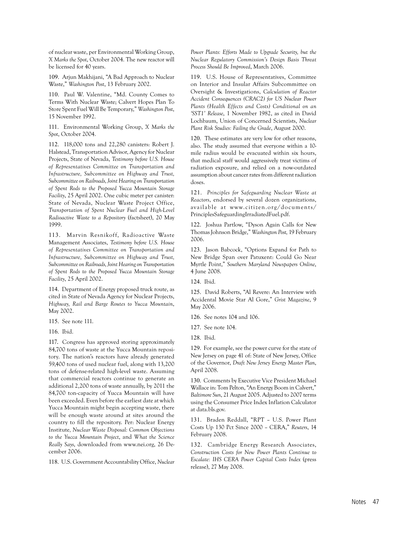of nuclear waste, per Environmental Working Group, *X Marks the Spot*, October 2004. The new reactor will be licensed for 40 years.

109. Arjun Makhijani, "A Bad Approach to Nuclear Waste," *Washington Post*, 13 February 2002.

110. Paul W. Valentine, "Md. County Comes to Terms With Nuclear Waste; Calvert Hopes Plan To Store Spent Fuel Will Be Temporary," *Washington Post*, 15 November 1992.

111. Environmental Working Group, *X Marks the Spot*, October 2004.

112. 118,000 tons and 22,280 canisters: Robert J. Halstead, Transportation Advisor, Agency for Nuclear Projects, State of Nevada, *Testimony before U.S. House of Representatives Committee on Transportation and Infrastructure, Subcommittee on Highway and Trust, Subcommittee on Railroads, Joint Hearing on Transportation of Spent Rods to the Proposed Yucca Mountain Storage Facility*, 25 April 2002. One cubic meter per canister: State of Nevada, Nuclear Waste Project Office, *Transportation of Spent Nuclear Fuel and High-Level Radioactive Waste to a Repository* (factsheet), 20 May 1999.

113. Marvin Resnikoff, Radioactive Waste Management Associates, *Testimony before U.S. House of Representatives Committee on Transportation and Infrastructure, Subcommittee on Highway and Trust, Subcommittee on Railroads, Joint Hearing on Transportation of Spent Rods to the Proposed Yucca Mountain Storage Facility*, 25 April 2002.

114. Department of Energy proposed truck route, as cited in State of Nevada Agency for Nuclear Projects, *Highway, Rail and Barge Routes to Yucca Mountain*, May 2002.

115. See note 111.

116. Ibid.

117. Congress has approved storing approximately 84,700 tons of waste at the Yucca Mountain repository. The nation's reactors have already generated 59,400 tons of used nuclear fuel, along with 13,200 tons of defense-related high-level waste. Assuming that commercial reactors continue to generate an additional 2,200 tons of waste annually, by 2011 the 84,700 ton-capacity of Yucca Mountain will have been exceeded. Even before the earliest date at which Yucca Mountain might begin accepting waste, there will be enough waste around at sites around the country to fill the repository. Per: Nuclear Energy Institute*, Nuclear Waste Disposal: Common Objections to the Yucca Mountain Project*, and *What the Science Really Says*, downloaded from www.nei.org, 26 December 2006.

118. U.S. Government Accountability Office, *Nuclear* 

*Power Plants: Efforts Made to Upgrade Security, but the Nuclear Regulatory Commission's Design Basis Threat Process Should Be Improved*, March 2006.

119. U.S. House of Representatives, Committee on Interior and Insular Affairs Subcommittee on Oversight & Investigations, *Calculation of Reactor Accident Consequences (CRAC2) for US Nuclear Power Plants (Health Effects and Costs) Conditional on an 'SST1' Release*, 1 November 1982, as cited in David Lochbaum, Union of Concerned Scientists, *Nuclear Plant Risk Studies: Failing the Grade*, August 2000.

120. These estimates are very low for other reasons, also. The study assumed that everyone within a 10 mile radius would be evacuated within six hours, that medical staff would aggressively treat victims of radiation exposure, and relied on a now-outdated assumption about cancer rates from different radiation doses.

121. *Principles for Safeguarding Nuclear Waste at Reactors*, endorsed by several dozen organizations, available at www.citizen.org/documents/ PrinciplesSafeguardingIrradiatedFuel.pdf.

122. Joshua Partlow, "Dyson Again Calls for New Thomas Johnson Bridge," *Washington Post,* 19 February 2006.

123. Jason Babcock, "Options Expand for Path to New Bridge Span over Patuxent: Could Go Near Myrtle Point," *Southern Maryland Newspapers Online*, 4 June 2008.

124. Ibid.

125. David Roberts, "Al Revere: An Interview with Accidental Movie Star Al Gore," *Grist Magazine*, 9 May 2006.

126. See notes 104 and 106.

127. See note 104.

128. Ibid.

129. For example, see the power curve for the state of New Jersey on page 41 of: State of New Jersey, Office of the Governor, *Draft New Jersey Energy Master Plan*, April 2008.

130. Comments by Executive Vice President Michael Wallace in: Tom Pelton, "An Energy Boom in Calvert," *Baltimore Sun*, 21 August 2005. Adjusted to 2007 terms using the Consumer Price Index Inflation Calculator at data.bls.gov.

131. Braden Reddall, "RPT – U.S. Power Plant Costs Up 130 Pct Since 2000 – CERA," *Reuters*, 14 February 2008.

132. Cambridge Energy Research Associates, *Construction Costs for New Power Plants Continue to Escalate: IHS CERA Power Capital Costs Index* (press release), 27 May 2008.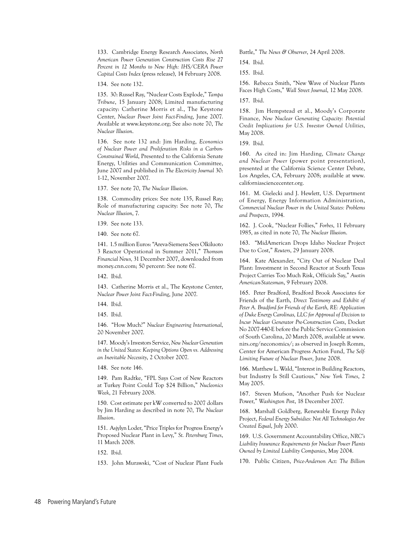133. Cambridge Energy Research Associates, *North American Power Generation Construction Costs Rise 27 Percent in 12 Months to New High: IHS/CERA Power Capital Costs Index* (press release), 14 February 2008.

134. See note 132.

135. 30: Russel Ray, "Nuclear Costs Explode," *Tampa Tribune*, 15 January 2008; Limited manufacturing capacity: Catherine Morris et al., The Keystone Center, *Nuclear Power Joint Fact-Finding*, June 2007. Available at www.keystone.org; See also note 70, *The Nuclear Illusion*.

136. See note 132 and: Jim Harding, *Economics of Nuclear Power and Proliferation Risks in a Carbon-Constrained World*, Presented to the California Senate Energy, Utilities and Communication Committee, June 2007 and published in *The Electricity Journal* 30: 1-12, November 2007.

137. See note 70, *The Nuclear Illusion*.

138. Commodity prices: See note 135, Russel Ray; Role of manufacturing capacity: See note 70, *The Nuclear Illusion*, 7.

139. See note 133.

140. See note 67.

141. 1.5 million Euros: "Areva-Siemens Sees Olkiluoto 3 Reactor Operational in Summer 2011," *Thomson Financial News,* 31 December 2007, downloaded from money.cnn.com; 50 percent: See note 67.

142. Ibid.

143. Catherine Morris et al., The Keystone Center, *Nuclear Power Joint Fact-Finding*, June 2007.

144. Ibid.

145. Ibid.

146. "How Much?" *Nuclear Engineering International*, 20 November 2007.

147. Moody's Investors Service, *New Nuclear Generation in the United States: Keeping Options Open vs. Addressing an Inevitable Necessity*, 2 October 2007.

148. See note 146.

149. Pam Radtke, "FPL Says Cost of New Reactors at Turkey Point Could Top \$24 Billion," *Nucleonics Week*, 21 February 2008.

150. Cost estimate per kW converted to 2007 dollars by Jim Harding as described in note 70, *The Nuclear Illusion*.

151. Asjylyn Loder, "Price Triples for Progress Energy's Proposed Nuclear Plant in Levy," *St. Petersburg Times*, 11 March 2008.

152. Ibid.

153. John Murawski, "Cost of Nuclear Plant Fuels

Battle," *The News & Observer*, 24 April 2008.

154. Ibid.

155. Ibid.

156. Rebecca Smith, "New Wave of Nuclear Plants Faces High Costs," *Wall Street Journal*, 12 May 2008.

157. Ibid.

158. Jim Hempstead et al., Moody's Corporate Finance, *New Nuclear Generating Capacity: Potential Credit Implications for U.S. Investor Owned Utilities*, May 2008.

159. Ibid.

160. As cited in: Jim Harding, *Climate Change and Nuclear Power* (power point presentation), presented at the California Science Center Debate, Los Angeles, CA, February 2008; available at www. californiasciencecenter.org.

161. M. Gielecki and J. Hewlett, U.S. Department of Energy, Energy Information Administration, *Commercial Nuclear Power in the United States: Problems and Prospects*, 1994.

162. J. Cook, "Nuclear Follies," *Forbes*, 11 February 1985, as cited in note 70, *The Nuclear Illusion*.

163. "MidAmerican Drops Idaho Nuclear Project Due to Cost," *Reuters*, 29 January 2008.

164. Kate Alexander, "City Out of Nuclear Deal Plant: Investment in Second Reactor at South Texas Project Carries Too Much Risk, Officials Say," *Austin American-Statesman*, 9 February 2008.

165. Peter Bradford, Bradford Brook Associates for Friends of the Earth, *Direct Testimony and Exhibit of Peter A. Bradford for Friends of the Earth, RE: Application of Duke Energy Carolinas, LLC for Approval of Decision to Incur Nuclear Generator Pre-Construction Costs*, Docket No 2007-440-E before the Public Service Commission of South Carolina, 20 March 2008, available at www. nirs.org/neconomics/; as observed in Joseph Romm, Center for American Progress Action Fund, *The Self-Limiting Future of Nuclear Power*, June 2008.

166. Matthew L. Wald, "Interest in Building Reactors, but Industry Is Still Cautious," *New York Times*, 2 May 2005.

167. Steven Mufson, "Another Push for Nuclear Power," *Washington Post*, 18 December 2007.

168. Marshall Goldberg, Renewable Energy Policy Project, *Federal Energy Subsidies: Not All Technologies Are Created Equal*, July 2000.

169. U.S. Government Accountability Office, *NRC's Liability Insurance Requirements for Nuclear Power Plants Owned by Limited Liability Companies*, May 2004.

170. Public Citizen, *Price-Anderson Act: The Billion*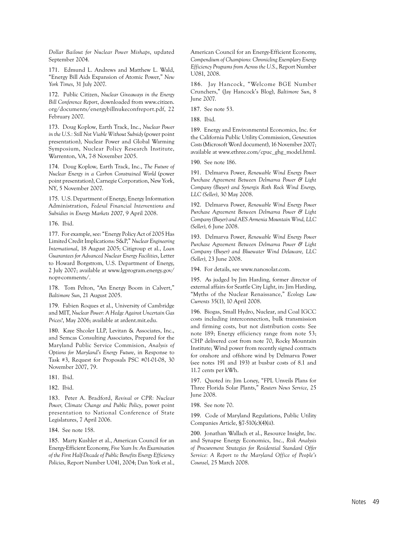*Dollar Bailout for Nuclear Power Mishaps*, updated September 2004.

171. Edmund L. Andrews and Matthew L. Wald, "Energy Bill Aids Expansion of Atomic Power," *New York Times*, 31 July 2007.

172. Public Citizen, *Nuclear Giveaways in the Energy Bill Conference Report*, downloaded from www.citizen. org/documents/energybillnukeconfreport.pdf, 22 February 2007.

173. Doug Koplow, Earth Track, Inc., *Nuclear Power in the U.S.: Still Not Viable Without Subsidy* (power point presentation), Nuclear Power and Global Warming Symposium, Nuclear Policy Research Institute, Warrenton, VA, 7-8 November 2005.

174. Doug Koplow, Earth Track, Inc., *The Future of Nuclear Energy in a Carbon Constrained World* (power point presentation), Carnegie Corporation, New York, NY, 5 November 2007.

175. U.S. Department of Energy, Energy Information Administration, *Federal Financial Interventions and Subsidies in Energy Markets 2007*, 9 April 2008.

176. Ibid.

177. For example, see: "Energy Policy Act of 2005 Has Limited Credit Implications: S&P," *Nuclear Engineering International*, 18 August 2005; Citigroup et al., *Loan Guarantees for Advanced Nuclear Energy Facilities*, Letter to Howard Borgstrom, U.S. Department of Energy, 2 July 2007; available at www.lgprogram.energy.gov/ nopr-comments/.

178. Tom Pelton, "An Energy Boom in Calvert," *Baltimore Sun*, 21 August 2005.

179. Fabien Roques et al., University of Cambridge and MIT, *Nuclear Power: A Hedge Against Uncertain Gas Prices?*, May 2006; available at ardent.mit.edu.

180. Kaye Shcoler LLP, Levitan & Associates, Inc., and Semcas Consulting Associates, Prepared for the Maryland Public Service Commision, *Analysis of Options for Maryland's Energy Future*, in Response to Task #3, Request for Proposals PSC #01-01-08, 30 November 2007, 79.

181. Ibid.

182. Ibid.

183. Peter A. Bradford, *Revival or CPR: Nuclear Power, Climate Change and Public Policy*, power point presentation to National Conference of State Legislatures, 7 April 2006.

184. See note 158.

185. Marty Kushler et al., American Council for an Energy-Efficient Economy, *Five Years In: An Examination of the First Half-Decade of Public Benefits Energy Efficiency Policies*, Report Number U041, 2004; Dan York et al.,

American Council for an Energy-Efficient Economy, *Compendium of Champions: Chronicling Exemplary Energy Efficiency Programs from Across the U.S.*, Report Number U081, 2008.

186. Jay Hancock, "Welcome BGE Number Crunchers," (Jay Hancock's Blog), *Baltimore Sun*, 8 June 2007.

187. See note 53.

188. Ibid.

189. Energy and Environmental Economics, Inc. for the California Public Utility Commission, *Generation Costs* (Microsoft Word document), 16 November 2007; available at www.ethree.com/cpuc\_ghg\_model.html.

190. See note 186.

191. Delmarva Power, *Renewable Wind Energy Power Purchase Agreement Between Delmarva Power & Light Company (Buyer) and Synergix Roth Rock Wind Energy, LLC (Seller)*, 30 May 2008.

192. Delmarva Power, *Renewable Wind Energy Power Purchase Agreement Between Delmarva Power & Light Company (Buyer) and AES Armenia Mountain Wind, LLC (Seller)*, 6 June 2008.

193. Delmarva Power, *Renewable Wind Energy Power Purchase Agreement Between Delmarva Power & Light Company (Buyer) and Bluewater Wind Delaware, LLC (Seller)*, 23 June 2008.

194. For details, see www.nanosolar.com.

195. As judged by Jim Harding, former director of external affairs for Seattle City Light, in: Jim Harding, "Myths of the Nuclear Renaissance," *Ecology Law Currents* 35(1), 10 April 2008.

196. Biogas, Small Hydro, Nuclear, and Coal IGCC costs including interconnection, bulk transmission and firming costs, but not distribution costs: See note 189; Energy efficiency range from note 53; CHP delivered cost from note 70, Rocky Mountain Institute; Wind power from recently signed contracts for onshore and offshore wind by Delmarva Power (see notes 191 and 193) at busbar costs of 8.1 and 11.7 cents per kWh.

197. Quoted in: Jim Loney, "FPL Unveils Plans for Three Florida Solar Plants," *Reuters News Service*, 25 June 2008.

198. See note 70.

199. Code of Maryland Regulations, Public Utility Companies Article, §7-510(c)(4)(ii).

200. Jonathan Wallach et al., Resource Insight, Inc. and Synapse Energy Economics, Inc., *Risk Analysis of Procurement Strategies for Residential Standard Offer Service: A Report to the Maryland Office of People's Counsel*, 25 March 2008.